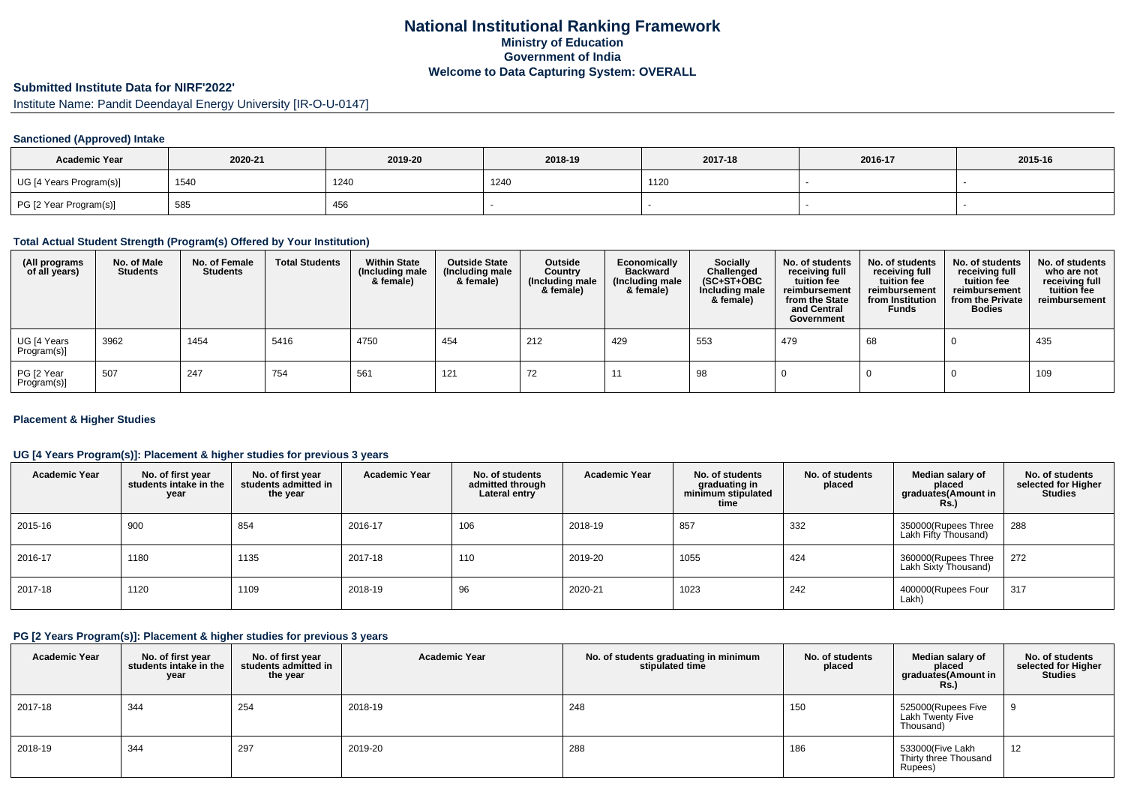# **National Institutional Ranking FrameworkMinistry of Education Government of IndiaWelcome to Data Capturing System: OVERALL**

# **Submitted Institute Data for NIRF'2022'**

Institute Name: Pandit Deendayal Energy University [IR-O-U-0147]

### **Sanctioned (Approved) Intake**

| <b>Academic Year</b>    | 2020-21 | 2019-20 | 2018-19 | 2017-18 | 2016-17 | 2015-16 |
|-------------------------|---------|---------|---------|---------|---------|---------|
| UG [4 Years Program(s)] | 1540    | 1240    | 1240    | 1120    |         |         |
| PG [2 Year Program(s)]  | 585     | 456     |         |         |         |         |

### **Total Actual Student Strength (Program(s) Offered by Your Institution)**

| (All programs<br>of all years) | No. of Male<br><b>Students</b> | No. of Female<br><b>Students</b> | <b>Total Students</b> | <b>Within State</b><br>(Including male<br>& female) | <b>Outside State</b><br>(Including male<br>& female) | Outside<br>Country<br>(Including male<br>& female) | Economically<br><b>Backward</b><br>(Including male<br>& female) | <b>Socially</b><br>Challenged<br>$(SC+ST+OBC)$<br>Including male<br>& female) | No. of students<br>receiving full<br>tuition fee<br>reimbursement<br>from the State<br>and Central<br>Government | No. of students<br>receiving full<br>tuition fee<br>reimbursement<br>from Institution<br><b>Funds</b> | No. of students<br>receiving full<br>tuition fee<br>reimbursement<br>from the Private<br><b>Bodies</b> | No. of students<br>who are not<br>receiving full<br>tuition fee<br>reimbursement |
|--------------------------------|--------------------------------|----------------------------------|-----------------------|-----------------------------------------------------|------------------------------------------------------|----------------------------------------------------|-----------------------------------------------------------------|-------------------------------------------------------------------------------|------------------------------------------------------------------------------------------------------------------|-------------------------------------------------------------------------------------------------------|--------------------------------------------------------------------------------------------------------|----------------------------------------------------------------------------------|
| UG [4 Years<br>Program(s)]     | 3962                           | 1454                             | 5416                  | 4750                                                | 454                                                  | 212                                                | 429                                                             | 553                                                                           | 479                                                                                                              | 68                                                                                                    |                                                                                                        | 435                                                                              |
| PG [2 Year<br>Program(s)]      | 507                            | 247                              | 754                   | 561                                                 | 121                                                  | 72                                                 |                                                                 | 98                                                                            |                                                                                                                  |                                                                                                       |                                                                                                        | 109                                                                              |

#### **Placement & Higher Studies**

### **UG [4 Years Program(s)]: Placement & higher studies for previous 3 years**

| <b>Academic Year</b> | No. of first year<br>students intake in the<br>year | No. of first vear<br>students admitted in<br>the year | <b>Academic Year</b> | No. of students<br>admitted through<br>Lateral entry | <b>Academic Year</b> | No. of students<br>graduating in<br>minimum stipulated<br>time | No. of students<br>placed | Median salary of<br>placed<br>graduates(Amount in<br><b>Rs.)</b> | No. of students<br>selected for Higher<br><b>Studies</b> |
|----------------------|-----------------------------------------------------|-------------------------------------------------------|----------------------|------------------------------------------------------|----------------------|----------------------------------------------------------------|---------------------------|------------------------------------------------------------------|----------------------------------------------------------|
| 2015-16              | 900                                                 | 854                                                   | 2016-17              | 106                                                  | 2018-19              | 857                                                            | 332                       | 350000(Rupees Three<br>Lakh Fifty Thousand)                      | 288                                                      |
| 2016-17              | 1180                                                | 1135                                                  | 2017-18              | 110                                                  | 2019-20              | 1055                                                           | 424                       | 360000(Rupees Three<br>Lakh Sixty Thousand)                      | 272                                                      |
| 2017-18              | 1120                                                | 1109                                                  | 2018-19              | 96                                                   | 2020-21              | 1023                                                           | 242                       | 400000(Rupees Four<br>Lakh)                                      | 317                                                      |

### **PG [2 Years Program(s)]: Placement & higher studies for previous 3 years**

| <b>Academic Year</b> | No. of first year<br>students intake in the<br>year | No. of first vear<br>students admitted in<br>the year | <b>Academic Year</b> | No. of students graduating in minimum<br>stipulated time | No. of students<br>placed | Median salary of<br>placed<br>graduates(Amount in<br>Rs.)  | No. of students<br>selected for Higher<br><b>Studies</b> |
|----------------------|-----------------------------------------------------|-------------------------------------------------------|----------------------|----------------------------------------------------------|---------------------------|------------------------------------------------------------|----------------------------------------------------------|
| 2017-18              | 344                                                 | 254                                                   | 2018-19              | 248                                                      | 150                       | 525000(Rupees Five<br><b>Lakh Twenty Five</b><br>Thousand) | a                                                        |
| 2018-19              | 344                                                 | 297                                                   | 2019-20              | 288                                                      | 186                       | 533000(Five Lakh<br>Thirty three Thousand<br>Rupees)       | 12                                                       |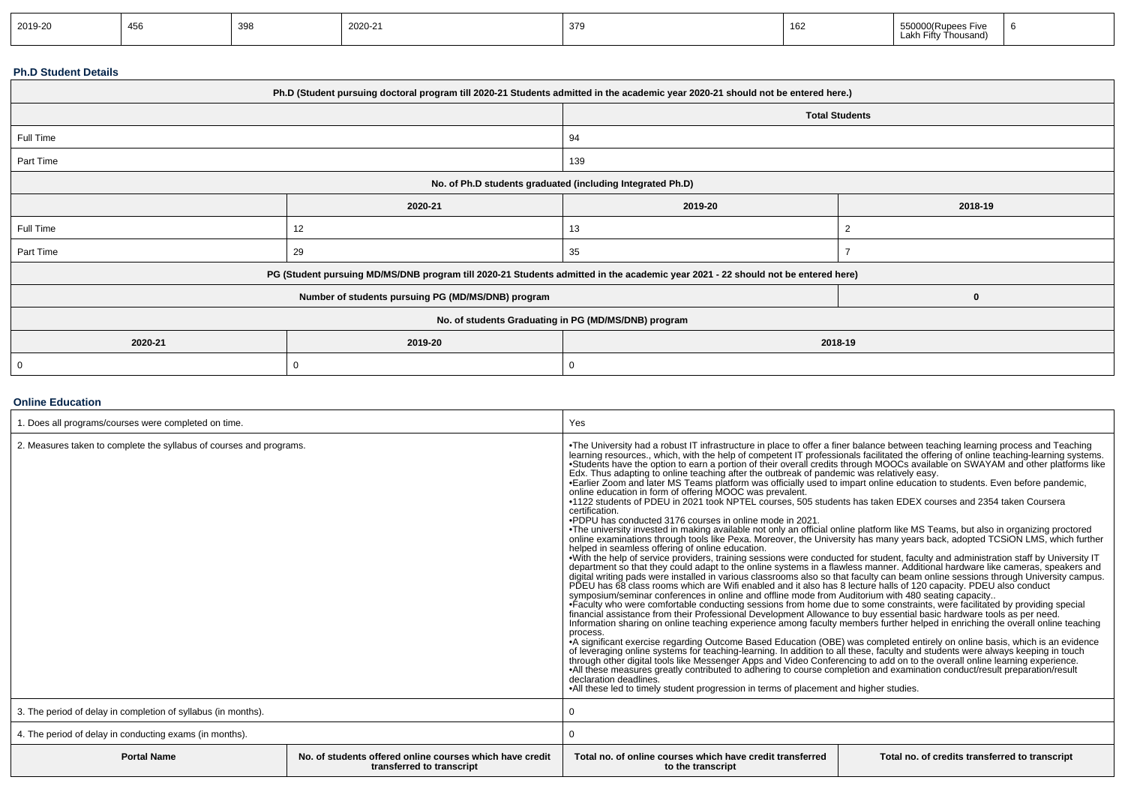| 2019-20 | 10 <sup>2</sup><br>45C | 398 | $\sim$<br>2020-21 | 379 | ACC<br>⊾סו | rive<br>h Fiftv<br>Thousand<br>. | . . |
|---------|------------------------|-----|-------------------|-----|------------|----------------------------------|-----|
|---------|------------------------|-----|-------------------|-----|------------|----------------------------------|-----|

#### **Ph.D Student Details**

| Ph.D (Student pursuing doctoral program till 2020-21 Students admitted in the academic year 2020-21 should not be entered here.) |                                                                                                                                  |                                                            |          |  |  |
|----------------------------------------------------------------------------------------------------------------------------------|----------------------------------------------------------------------------------------------------------------------------------|------------------------------------------------------------|----------|--|--|
|                                                                                                                                  |                                                                                                                                  | <b>Total Students</b>                                      |          |  |  |
| Full Time                                                                                                                        |                                                                                                                                  | 94                                                         |          |  |  |
| Part Time                                                                                                                        |                                                                                                                                  | 139                                                        |          |  |  |
|                                                                                                                                  |                                                                                                                                  | No. of Ph.D students graduated (including Integrated Ph.D) |          |  |  |
|                                                                                                                                  | 2020-21                                                                                                                          | 2019-20<br>2018-19                                         |          |  |  |
| Full Time                                                                                                                        | 12                                                                                                                               | 13                                                         |          |  |  |
| Part Time                                                                                                                        | 29                                                                                                                               | 35                                                         |          |  |  |
|                                                                                                                                  | PG (Student pursuing MD/MS/DNB program till 2020-21 Students admitted in the academic year 2021 - 22 should not be entered here) |                                                            |          |  |  |
|                                                                                                                                  | Number of students pursuing PG (MD/MS/DNB) program                                                                               |                                                            | $\bf{0}$ |  |  |
| No. of students Graduating in PG (MD/MS/DNB) program                                                                             |                                                                                                                                  |                                                            |          |  |  |
| 2020-21                                                                                                                          | 2019-20<br>2018-19                                                                                                               |                                                            |          |  |  |
| -0                                                                                                                               |                                                                                                                                  | 0                                                          |          |  |  |

# **Online Education**

| 1. Does all programs/courses were completed on time.                |                                                                                       | Yes                                                                                                                                                                                                                                                                                                                                                                                                                                                                                                                                                                                                                                                                                                                                                                                                                                                                                                                                                                                                                                                                                                                                                                                                                                                                                                                                                                                                                                                                                                                                                                                                                                                                                                                                                                                                                                                                                                                                                                                                                                                                                                                                                                                                                                                                                                                                                                                                                                                                                                                                                                                                                                                                                                                                                                                                                                                                                     |                                                |  |
|---------------------------------------------------------------------|---------------------------------------------------------------------------------------|-----------------------------------------------------------------------------------------------------------------------------------------------------------------------------------------------------------------------------------------------------------------------------------------------------------------------------------------------------------------------------------------------------------------------------------------------------------------------------------------------------------------------------------------------------------------------------------------------------------------------------------------------------------------------------------------------------------------------------------------------------------------------------------------------------------------------------------------------------------------------------------------------------------------------------------------------------------------------------------------------------------------------------------------------------------------------------------------------------------------------------------------------------------------------------------------------------------------------------------------------------------------------------------------------------------------------------------------------------------------------------------------------------------------------------------------------------------------------------------------------------------------------------------------------------------------------------------------------------------------------------------------------------------------------------------------------------------------------------------------------------------------------------------------------------------------------------------------------------------------------------------------------------------------------------------------------------------------------------------------------------------------------------------------------------------------------------------------------------------------------------------------------------------------------------------------------------------------------------------------------------------------------------------------------------------------------------------------------------------------------------------------------------------------------------------------------------------------------------------------------------------------------------------------------------------------------------------------------------------------------------------------------------------------------------------------------------------------------------------------------------------------------------------------------------------------------------------------------------------------------------------------|------------------------------------------------|--|
| 2. Measures taken to complete the syllabus of courses and programs. |                                                                                       | •The University had a robust IT infrastructure in place to offer a finer balance between teaching learning process and Teaching<br>learning resources., which, with the help of competent IT professionals facilitated the offering of online teaching-learning systems.<br>. Students have the option to earn a portion of their overall credits through MOOCs available on SWAYAM and other platforms like<br>Edx. Thus adapting to online teaching after the outbreak of pandemic was relatively easy.<br>•Earlier Zoom and later MS Teams platform was officially used to impart online education to students. Even before pandemic,<br>online education in form of offering MOOC was prevalent.<br>•1122 students of PDEU in 2021 took NPTEL courses, 505 students has taken EDEX courses and 2354 taken Coursera<br>certification.<br>.PDPU has conducted 3176 courses in online mode in 2021<br>•The university invested in making available not only an official online platform like MS Teams, but also in organizing proctored<br>online examinations through tools like Pexa. Moreover, the University has many years back, adopted TCSiON LMS, which further<br>helped in seamless offering of online education.<br>•With the help of service providers, training sessions were conducted for student, faculty and administration staff by University IT<br>department so that they could adapt to the online systems in a flawless manner. Additional hardware like cameras, speakers and<br>digital writing pads were installed in various classrooms also so that faculty can beam online sessions through University campus.<br>PDEU has 68 class rooms which are Wifi enabled and it also has 8 lecture halls of 120 capac<br>symposium/seminar conferences in online and offline mode from Auditorium with 480 seating capacity<br>•Faculty who were comfortable conducting sessions from home due to some constraints, were facilitated by providing special<br>financial assistance from their Professional Development Allowance to buy essential basic hardware<br>Information sharing on online teaching experience among faculty members further helped in enriching the overall online teaching<br>process.<br>A significant exercise regarding Outcome Based Education (OBE) was completed entirely on online basis, which is an evidence<br>of leveraging online systems for teaching-learning. In addition to all these, faculty and students were always keeping in touch<br>through other digital tools like Messenger Apps and Video Conferencing to add on to the overall online learning experience.<br>•All these measures greatly contributed to adhering to course completion and examination conduct/result preparation/result<br>declaration deadlines.<br>•All these led to timely student progression in terms of placement and higher studies. |                                                |  |
| 3. The period of delay in completion of syllabus (in months).       |                                                                                       |                                                                                                                                                                                                                                                                                                                                                                                                                                                                                                                                                                                                                                                                                                                                                                                                                                                                                                                                                                                                                                                                                                                                                                                                                                                                                                                                                                                                                                                                                                                                                                                                                                                                                                                                                                                                                                                                                                                                                                                                                                                                                                                                                                                                                                                                                                                                                                                                                                                                                                                                                                                                                                                                                                                                                                                                                                                                                         |                                                |  |
| 4. The period of delay in conducting exams (in months).             |                                                                                       |                                                                                                                                                                                                                                                                                                                                                                                                                                                                                                                                                                                                                                                                                                                                                                                                                                                                                                                                                                                                                                                                                                                                                                                                                                                                                                                                                                                                                                                                                                                                                                                                                                                                                                                                                                                                                                                                                                                                                                                                                                                                                                                                                                                                                                                                                                                                                                                                                                                                                                                                                                                                                                                                                                                                                                                                                                                                                         |                                                |  |
| <b>Portal Name</b>                                                  | No. of students offered online courses which have credit<br>transferred to transcript | Total no, of online courses which have credit transferred<br>to the transcript                                                                                                                                                                                                                                                                                                                                                                                                                                                                                                                                                                                                                                                                                                                                                                                                                                                                                                                                                                                                                                                                                                                                                                                                                                                                                                                                                                                                                                                                                                                                                                                                                                                                                                                                                                                                                                                                                                                                                                                                                                                                                                                                                                                                                                                                                                                                                                                                                                                                                                                                                                                                                                                                                                                                                                                                          | Total no. of credits transferred to transcript |  |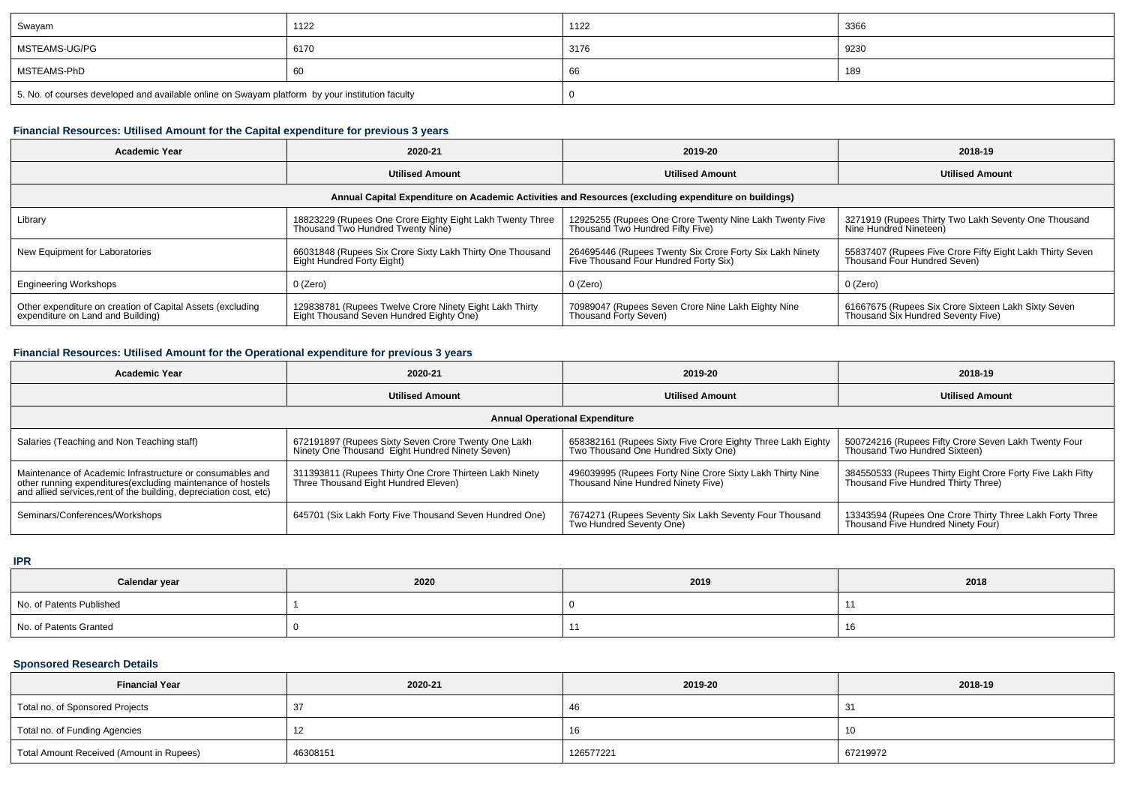| Swayam                                                                                          | 1122 | 1122 | 3366 |
|-------------------------------------------------------------------------------------------------|------|------|------|
| MSTEAMS-UG/PG                                                                                   | 6170 | 3176 | 9230 |
| MSTEAMS-PhD                                                                                     | 60   | ЮC   | 189  |
| 5. No. of courses developed and available online on Swayam platform by your institution faculty |      |      |      |

# **Financial Resources: Utilised Amount for the Capital expenditure for previous 3 years**

| <b>Academic Year</b>                                                                                 | 2020-21                                                                                             | 2019-20                                                                                           | 2018-19                                                                                   |  |  |  |  |
|------------------------------------------------------------------------------------------------------|-----------------------------------------------------------------------------------------------------|---------------------------------------------------------------------------------------------------|-------------------------------------------------------------------------------------------|--|--|--|--|
|                                                                                                      | <b>Utilised Amount</b>                                                                              | <b>Utilised Amount</b>                                                                            | <b>Utilised Amount</b>                                                                    |  |  |  |  |
| Annual Capital Expenditure on Academic Activities and Resources (excluding expenditure on buildings) |                                                                                                     |                                                                                                   |                                                                                           |  |  |  |  |
| Library                                                                                              | 18823229 (Rupees One Crore Eighty Eight Lakh Twenty Three<br>Thousand Two Hundred Twenty Nine)      | 12925255 (Rupees One Crore Twenty Nine Lakh Twenty Five<br>Thousand Two Hundred Fifty Five)       | 3271919 (Rupees Thirty Two Lakh Seventy One Thousand<br>Nine Hundred Nineteen)            |  |  |  |  |
| New Equipment for Laboratories                                                                       | 66031848 (Rupees Six Crore Sixty Lakh Thirty One Thousand<br>Eight Hundred Forty Eight)             | 264695446 (Rupees Twenty Six Crore Forty Six Lakh Ninety<br>Five Thousand Four Hundred Forty Six) | 55837407 (Rupees Five Crore Fifty Eight Lakh Thirty Seven<br>Thousand Four Hundred Seven) |  |  |  |  |
| <b>Engineering Workshops</b>                                                                         | 0 (Zero)                                                                                            | 0 (Zero)                                                                                          | 0 (Zero)                                                                                  |  |  |  |  |
| Other expenditure on creation of Capital Assets (excluding<br>expenditure on Land and Building)      | 129838781 (Rupees Twelve Crore Ninety Eight Lakh Thirty<br>Eight Thousand Seven Hundred Eighty One) | 70989047 (Rupees Seven Crore Nine Lakh Eighty Nine<br>Thousand Forty Seven)                       | 61667675 (Rupees Six Crore Sixteen Lakh Sixty Seven<br>Thousand Six Hundred Seventy Five) |  |  |  |  |

### **Financial Resources: Utilised Amount for the Operational expenditure for previous 3 years**

| <b>Academic Year</b>                                                                                                                                                                            | 2020-21                                                                                                | 2019-20                                                                                            | 2018-19                                                                                           |  |  |  |  |  |
|-------------------------------------------------------------------------------------------------------------------------------------------------------------------------------------------------|--------------------------------------------------------------------------------------------------------|----------------------------------------------------------------------------------------------------|---------------------------------------------------------------------------------------------------|--|--|--|--|--|
|                                                                                                                                                                                                 | <b>Utilised Amount</b>                                                                                 | <b>Utilised Amount</b>                                                                             | <b>Utilised Amount</b>                                                                            |  |  |  |  |  |
| <b>Annual Operational Expenditure</b>                                                                                                                                                           |                                                                                                        |                                                                                                    |                                                                                                   |  |  |  |  |  |
| Salaries (Teaching and Non Teaching staff)                                                                                                                                                      | 672191897 (Rupees Sixty Seven Crore Twenty One Lakh<br>Ninety One Thousand Eight Hundred Ninety Seven) | 658382161 (Rupees Sixty Five Crore Eighty Three Lakh Eighty<br>Two Thousand One Hundred Sixty One) | 500724216 (Rupees Fifty Crore Seven Lakh Twenty Four<br>Thousand Two Hundred Sixteen)             |  |  |  |  |  |
| Maintenance of Academic Infrastructure or consumables and<br>other running expenditures (excluding maintenance of hostels<br>and allied services, rent of the building, depreciation cost, etc) | 311393811 (Rupees Thirty One Crore Thirteen Lakh Ninety<br>Three Thousand Eight Hundred Eleven)        | 496039995 (Rupees Forty Nine Crore Sixty Lakh Thirty Nine<br>Thousand Nine Hundred Ninety Five)    | 384550533 (Rupees Thirty Eight Crore Forty Five Lakh Fifty<br>Thousand Five Hundred Thirty Three) |  |  |  |  |  |
| Seminars/Conferences/Workshops                                                                                                                                                                  | 645701 (Six Lakh Forty Five Thousand Seven Hundred One)                                                | 7674271 (Rupees Seventy Six Lakh Seventy Four Thousand<br>Two Hundred Seventy One)                 | 13343594 (Rupees One Crore Thirty Three Lakh Forty Three<br>Thousand Five Hundred Ninety Four)    |  |  |  |  |  |

**IPR**

| Calendar year            | 2020 | 2019 | 2018 |
|--------------------------|------|------|------|
| No. of Patents Published |      |      |      |
| No. of Patents Granted   |      |      |      |

# **Sponsored Research Details**

| <b>Financial Year</b>                    | 2020-21  | 2019-20   | 2018-19  |
|------------------------------------------|----------|-----------|----------|
| Total no. of Sponsored Projects          |          | 4ι        | ັ        |
| Total no. of Funding Agencies            | 14       | 10        | 10       |
| Total Amount Received (Amount in Rupees) | 46308151 | 126577221 | 67219972 |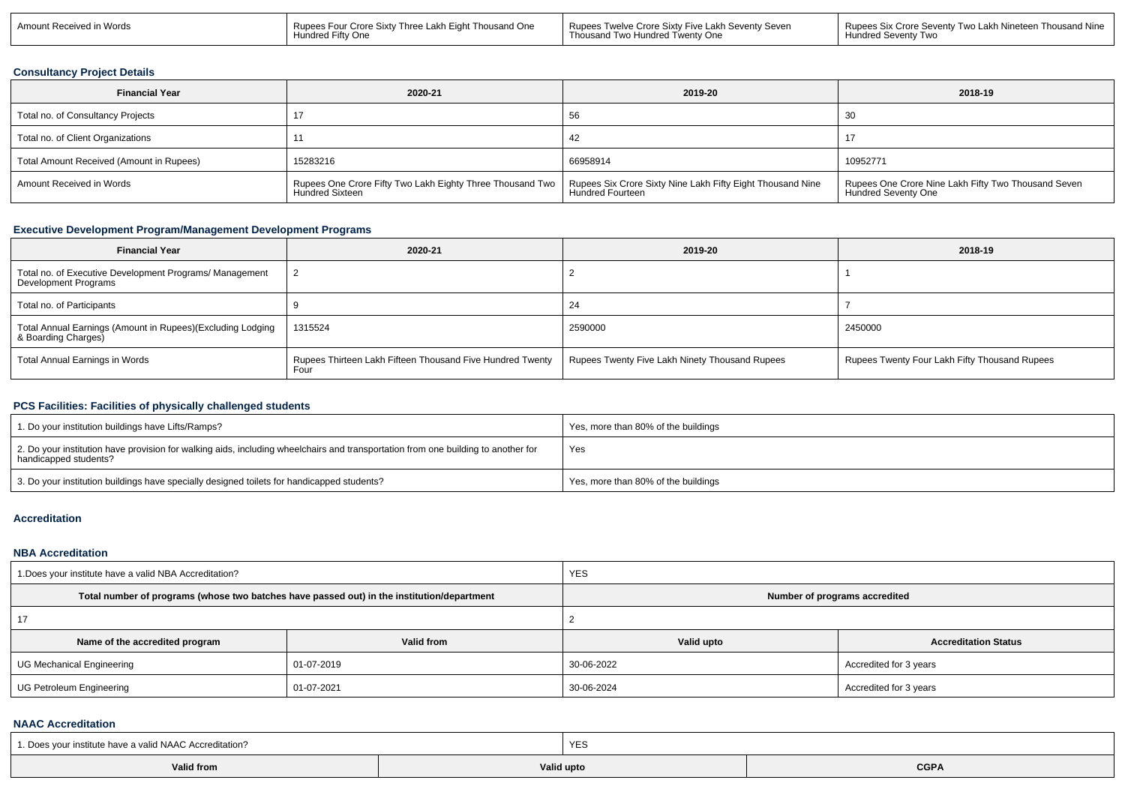| $101 - 1$<br>Amount Rece<br>Rupees Four (<br>7 V U<br>vvuus<br>Hundred | Thousand One<br>/ Three<br>Crore Sixty<br>Lakh E<br>rtv One | : Lakh Seventv Seven<br>Rupee <sup>.</sup><br>Twelve Crore Sixty<br>∕ Five<br>Twenty One<br>I WC<br>r Hundred | <b>Thousand Nine</b><br>Rupees Six (<br>……v ⊺wo Lakh Nineteen ™<br>Seventy<br><b>Hundred Seventy</b><br><b>Two</b> |
|------------------------------------------------------------------------|-------------------------------------------------------------|---------------------------------------------------------------------------------------------------------------|--------------------------------------------------------------------------------------------------------------------|
|------------------------------------------------------------------------|-------------------------------------------------------------|---------------------------------------------------------------------------------------------------------------|--------------------------------------------------------------------------------------------------------------------|

#### **Consultancy Project Details**

| <b>Financial Year</b>                    | 2020-21                                                                             | 2019-20                                                                               | 2018-19                                                                           |
|------------------------------------------|-------------------------------------------------------------------------------------|---------------------------------------------------------------------------------------|-----------------------------------------------------------------------------------|
| Total no. of Consultancy Projects        |                                                                                     | 56                                                                                    | 30                                                                                |
| Total no. of Client Organizations        |                                                                                     |                                                                                       |                                                                                   |
| Total Amount Received (Amount in Rupees) | 15283216                                                                            | 66958914                                                                              | 10952771                                                                          |
| Amount Received in Words                 | Rupees One Crore Fifty Two Lakh Eighty Three Thousand Two<br><b>Hundred Sixteen</b> | Rupees Six Crore Sixty Nine Lakh Fifty Eight Thousand Nine<br><b>Hundred Fourteen</b> | Rupees One Crore Nine Lakh Fifty Two Thousand Seven<br><b>Hundred Seventy One</b> |

# **Executive Development Program/Management Development Programs**

| <b>Financial Year</b>                                                             | 2020-21                                                           | 2019-20                                        | 2018-19                                       |
|-----------------------------------------------------------------------------------|-------------------------------------------------------------------|------------------------------------------------|-----------------------------------------------|
| Total no. of Executive Development Programs/ Management<br>Development Programs   |                                                                   |                                                |                                               |
| Total no. of Participants                                                         |                                                                   | 24                                             |                                               |
| Total Annual Earnings (Amount in Rupees)(Excluding Lodging<br>& Boarding Charges) | 1315524                                                           | 2590000                                        | 2450000                                       |
| Total Annual Earnings in Words                                                    | Rupees Thirteen Lakh Fifteen Thousand Five Hundred Twenty<br>Four | Rupees Twenty Five Lakh Ninety Thousand Rupees | Rupees Twenty Four Lakh Fifty Thousand Rupees |

#### **PCS Facilities: Facilities of physically challenged students**

| 1. Do your institution buildings have Lifts/Ramps?                                                                                                         | Yes, more than 80% of the buildings |
|------------------------------------------------------------------------------------------------------------------------------------------------------------|-------------------------------------|
| 2. Do your institution have provision for walking aids, including wheelchairs and transportation from one building to another for<br>handicapped students? | Yes                                 |
| 3. Do your institution buildings have specially designed toilets for handicapped students?                                                                 | Yes, more than 80% of the buildings |

#### **Accreditation**

#### **NBA Accreditation**

| 1. Does your institute have a valid NBA Accreditation? |                                                                                            | <b>YES</b>                    |                             |  |  |
|--------------------------------------------------------|--------------------------------------------------------------------------------------------|-------------------------------|-----------------------------|--|--|
|                                                        | Total number of programs (whose two batches have passed out) in the institution/department | Number of programs accredited |                             |  |  |
|                                                        |                                                                                            |                               |                             |  |  |
| Name of the accredited program                         | Valid from                                                                                 | Valid upto                    | <b>Accreditation Status</b> |  |  |
| UG Mechanical Engineering                              | 01-07-2019                                                                                 | 30-06-2022                    | Accredited for 3 years      |  |  |
| UG Petroleum Engineering                               | 01-07-2021                                                                                 | 30-06-2024                    | Accredited for 3 years      |  |  |

#### **NAAC Accreditation**

| 1. Does your institute have a valid NAAC Accreditation? | YES        |             |
|---------------------------------------------------------|------------|-------------|
| <b>Valid from</b>                                       | Valid upto | <b>CGPA</b> |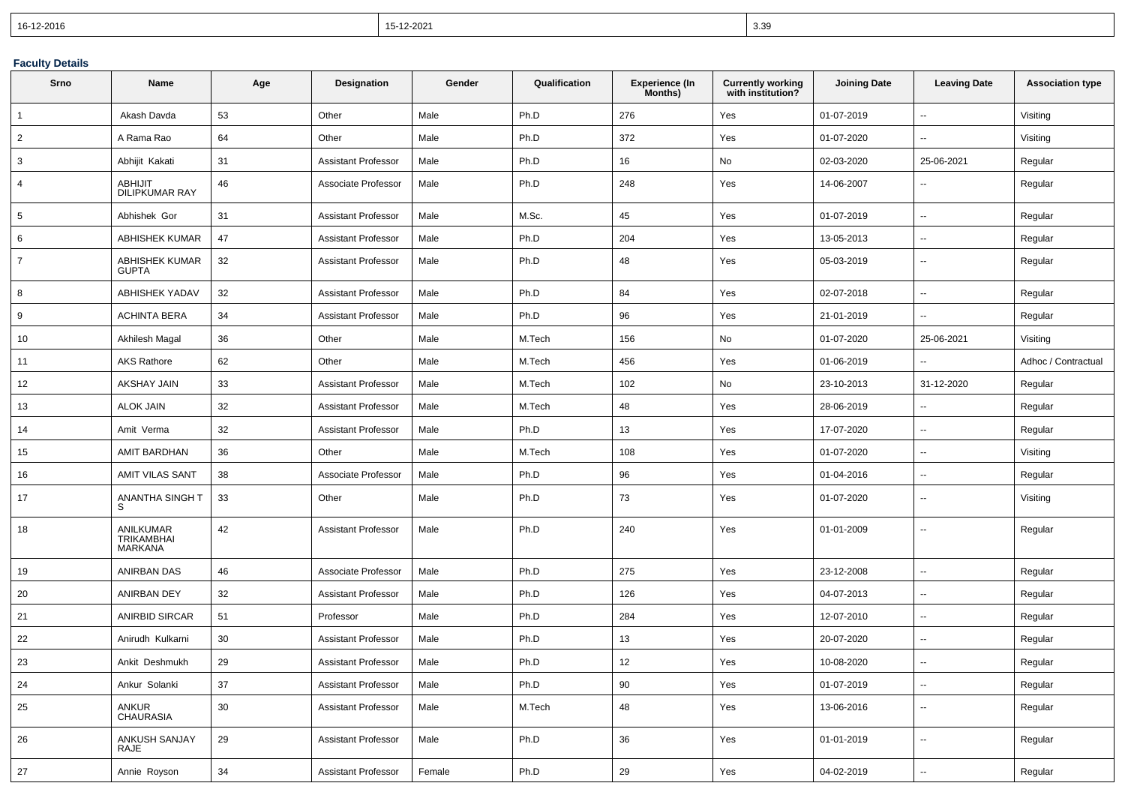| 16-12-2016 | 15-12-2021 | <b>330</b><br>.ບ.ບ |
|------------|------------|--------------------|
|------------|------------|--------------------|

### **Faculty Details**

| Srno           | Name                                      | Age | Designation                | Gender | Qualification | <b>Experience (In</b><br>Months) | <b>Currently working</b><br>with institution? | <b>Joining Date</b> | <b>Leaving Date</b>      | <b>Association type</b> |
|----------------|-------------------------------------------|-----|----------------------------|--------|---------------|----------------------------------|-----------------------------------------------|---------------------|--------------------------|-------------------------|
| $\mathbf 1$    | Akash Davda                               | 53  | Other                      | Male   | Ph.D          | 276                              | Yes                                           | 01-07-2019          | $\overline{\phantom{a}}$ | Visiting                |
| $\overline{2}$ | A Rama Rao                                | 64  | Other                      | Male   | Ph.D          | 372                              | Yes                                           | 01-07-2020          | $\overline{\phantom{a}}$ | Visiting                |
| 3              | Abhijit Kakati                            | 31  | <b>Assistant Professor</b> | Male   | Ph.D          | 16                               | No                                            | 02-03-2020          | 25-06-2021               | Regular                 |
| 4              | <b>ABHIJIT</b><br><b>DILIPKUMAR RAY</b>   | 46  | Associate Professor        | Male   | Ph.D          | 248                              | Yes                                           | 14-06-2007          | $\overline{\phantom{a}}$ | Regular                 |
| 5              | Abhishek Gor                              | 31  | <b>Assistant Professor</b> | Male   | M.Sc.         | 45                               | Yes                                           | 01-07-2019          | $\sim$                   | Regular                 |
| 6              | <b>ABHISHEK KUMAR</b>                     | 47  | <b>Assistant Professor</b> | Male   | Ph.D          | 204                              | Yes                                           | 13-05-2013          | $\overline{\phantom{a}}$ | Regular                 |
| $\overline{7}$ | <b>ABHISHEK KUMAR</b><br><b>GUPTA</b>     | 32  | <b>Assistant Professor</b> | Male   | Ph.D          | 48                               | Yes                                           | 05-03-2019          | $\overline{\phantom{a}}$ | Regular                 |
| 8              | <b>ABHISHEK YADAV</b>                     | 32  | <b>Assistant Professor</b> | Male   | Ph.D          | 84                               | Yes                                           | 02-07-2018          | $\overline{\phantom{a}}$ | Regular                 |
| 9              | <b>ACHINTA BERA</b>                       | 34  | <b>Assistant Professor</b> | Male   | Ph.D          | 96                               | Yes                                           | 21-01-2019          | $\overline{\phantom{a}}$ | Regular                 |
| 10             | Akhilesh Magal                            | 36  | Other                      | Male   | M.Tech        | 156                              | No                                            | 01-07-2020          | 25-06-2021               | Visiting                |
| 11             | <b>AKS Rathore</b>                        | 62  | Other                      | Male   | M.Tech        | 456                              | Yes                                           | 01-06-2019          | $\overline{\phantom{a}}$ | Adhoc / Contractual     |
| 12             | AKSHAY JAIN                               | 33  | <b>Assistant Professor</b> | Male   | M.Tech        | 102                              | No                                            | 23-10-2013          | 31-12-2020               | Regular                 |
| 13             | <b>ALOK JAIN</b>                          | 32  | <b>Assistant Professor</b> | Male   | M.Tech        | 48                               | Yes                                           | 28-06-2019          | $\overline{\phantom{a}}$ | Regular                 |
| 14             | Amit Verma                                | 32  | <b>Assistant Professor</b> | Male   | Ph.D          | 13                               | Yes                                           | 17-07-2020          | $\overline{\phantom{a}}$ | Regular                 |
| 15             | AMIT BARDHAN                              | 36  | Other                      | Male   | M.Tech        | 108                              | Yes                                           | 01-07-2020          | $\overline{a}$           | Visiting                |
| 16             | <b>AMIT VILAS SANT</b>                    | 38  | Associate Professor        | Male   | Ph.D          | 96                               | Yes                                           | 01-04-2016          | $\overline{\phantom{a}}$ | Regular                 |
| 17             | ANANTHA SINGH T<br>S                      | 33  | Other                      | Male   | Ph.D          | 73                               | Yes                                           | 01-07-2020          | $\overline{\phantom{a}}$ | Visiting                |
| 18             | ANILKUMAR<br><b>TRIKAMBHAI</b><br>MARKANA | 42  | <b>Assistant Professor</b> | Male   | Ph.D          | 240                              | Yes                                           | 01-01-2009          | $\overline{\phantom{a}}$ | Regular                 |
| 19             | ANIRBAN DAS                               | 46  | Associate Professor        | Male   | Ph.D          | 275                              | Yes                                           | 23-12-2008          | $\overline{\phantom{a}}$ | Regular                 |
| 20             | ANIRBAN DEY                               | 32  | <b>Assistant Professor</b> | Male   | Ph.D          | 126                              | Yes                                           | 04-07-2013          | $\overline{\phantom{a}}$ | Regular                 |
| 21             | <b>ANIRBID SIRCAR</b>                     | 51  | Professor                  | Male   | Ph.D          | 284                              | Yes                                           | 12-07-2010          | $\sim$                   | Regular                 |
| 22             | Anirudh Kulkarni                          | 30  | Assistant Professor        | Male   | Ph.D          | 13                               | Yes                                           | 20-07-2020          | $\overline{\phantom{a}}$ | Regular                 |
| 23             | Ankit Deshmukh                            | 29  | <b>Assistant Professor</b> | Male   | Ph.D          | 12                               | Yes                                           | 10-08-2020          |                          | Regular                 |
| 24             | Ankur Solanki                             | 37  | <b>Assistant Professor</b> | Male   | Ph.D          | 90                               | Yes                                           | 01-07-2019          | $\overline{\phantom{a}}$ | Regular                 |
| 25             | ANKUR<br>CHAURASIA                        | 30  | <b>Assistant Professor</b> | Male   | M.Tech        | 48                               | Yes                                           | 13-06-2016          | $\overline{\phantom{a}}$ | Regular                 |
| 26             | ANKUSH SANJAY<br>RAJE                     | 29  | <b>Assistant Professor</b> | Male   | Ph.D          | 36                               | Yes                                           | 01-01-2019          | $\overline{\phantom{a}}$ | Regular                 |
| 27             | Annie Royson                              | 34  | <b>Assistant Professor</b> | Female | Ph.D          | 29                               | Yes                                           | 04-02-2019          | $\ddot{\phantom{1}}$     | Regular                 |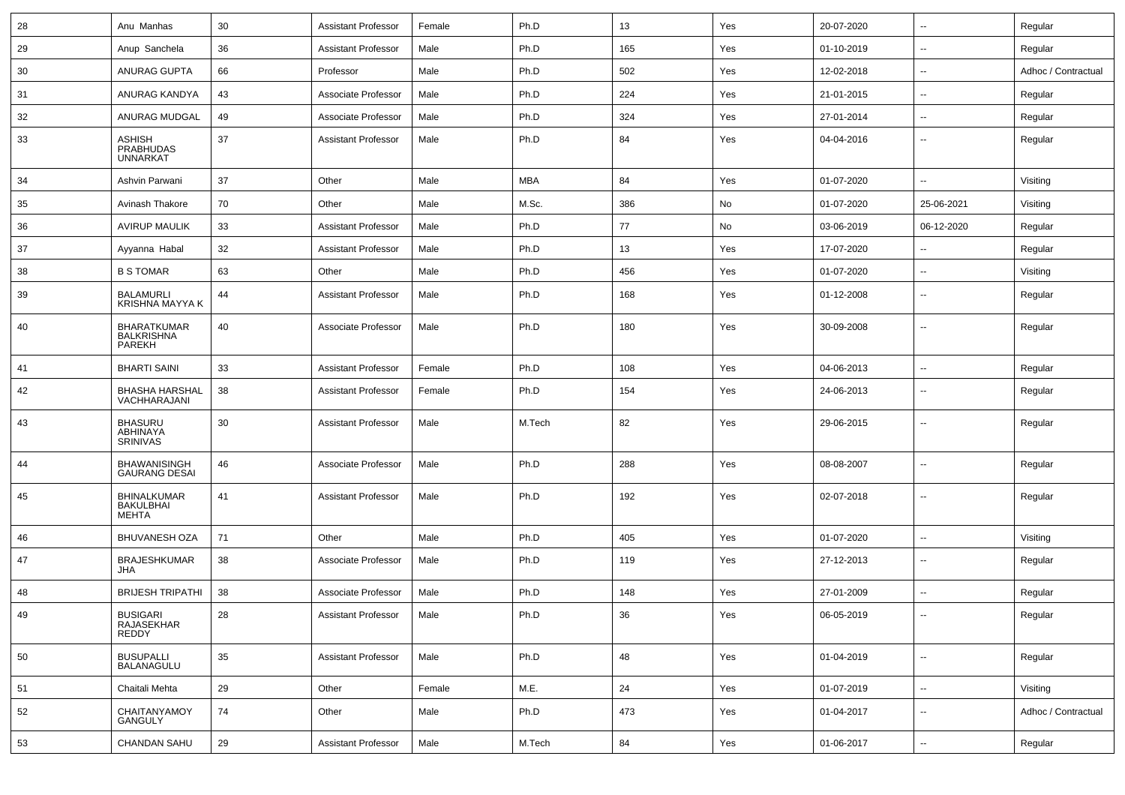| 28 | Anu Manhas                                           | 30         | <b>Assistant Professor</b> | Female | Ph.D       | 13     | Yes | 20-07-2020 | $\overline{\phantom{a}}$ | Regular             |
|----|------------------------------------------------------|------------|----------------------------|--------|------------|--------|-----|------------|--------------------------|---------------------|
| 29 | Anup Sanchela                                        | 36         | <b>Assistant Professor</b> | Male   | Ph.D       | 165    | Yes | 01-10-2019 | $\overline{\phantom{a}}$ | Regular             |
| 30 | ANURAG GUPTA                                         | 66         | Professor                  | Male   | Ph.D       | 502    | Yes | 12-02-2018 | $\overline{\phantom{a}}$ | Adhoc / Contractual |
| 31 | ANURAG KANDYA                                        | 43         | Associate Professor        | Male   | Ph.D       | 224    | Yes | 21-01-2015 | $\overline{\phantom{a}}$ | Regular             |
| 32 | ANURAG MUDGAL                                        | 49         | Associate Professor        | Male   | Ph.D       | 324    | Yes | 27-01-2014 | $\overline{\phantom{a}}$ | Regular             |
| 33 | <b>ASHISH</b><br><b>PRABHUDAS</b><br><b>UNNARKAT</b> | 37         | <b>Assistant Professor</b> | Male   | Ph.D       | 84     | Yes | 04-04-2016 | $\overline{\phantom{a}}$ | Regular             |
| 34 | Ashvin Parwani                                       | 37         | Other                      | Male   | <b>MBA</b> | 84     | Yes | 01-07-2020 | $\overline{\phantom{a}}$ | Visiting            |
| 35 | Avinash Thakore                                      | 70         | Other                      | Male   | M.Sc.      | 386    | No  | 01-07-2020 | 25-06-2021               | Visiting            |
| 36 | <b>AVIRUP MAULIK</b>                                 | 33         | <b>Assistant Professor</b> | Male   | Ph.D       | 77     | No  | 03-06-2019 | 06-12-2020               | Regular             |
| 37 | Ayyanna Habal                                        | 32         | <b>Assistant Professor</b> | Male   | Ph.D       | 13     | Yes | 17-07-2020 | $\overline{\phantom{a}}$ | Regular             |
| 38 | <b>B S TOMAR</b>                                     | 63         | Other                      | Male   | Ph.D       | 456    | Yes | 01-07-2020 | $\overline{\phantom{a}}$ | Visiting            |
| 39 | <b>BALAMURLI</b><br><b>KRISHNA MAYYA K</b>           | 44         | <b>Assistant Professor</b> | Male   | Ph.D       | 168    | Yes | 01-12-2008 | $\overline{\phantom{a}}$ | Regular             |
| 40 | <b>BHARATKUMAR</b><br><b>BALKRISHNA</b><br>PAREKH    | 40         | Associate Professor        | Male   | Ph.D       | 180    | Yes | 30-09-2008 | $\overline{\phantom{a}}$ | Regular             |
| 41 | <b>BHARTI SAINI</b>                                  | 33         | <b>Assistant Professor</b> | Female | Ph.D       | 108    | Yes | 04-06-2013 | $\overline{\phantom{a}}$ | Regular             |
| 42 | <b>BHASHA HARSHAL</b><br>VACHHARAJANI                | 38         | <b>Assistant Professor</b> | Female | Ph.D       | 154    | Yes | 24-06-2013 | $\overline{\phantom{a}}$ | Regular             |
| 43 | <b>BHASURU</b><br>ABHINAYA<br><b>SRINIVAS</b>        | 30         | <b>Assistant Professor</b> | Male   | M.Tech     | 82     | Yes | 29-06-2015 | --                       | Regular             |
| 44 | <b>BHAWANISINGH</b><br><b>GAURANG DESAI</b>          | 46         | Associate Professor        | Male   | Ph.D       | 288    | Yes | 08-08-2007 | $\overline{\phantom{a}}$ | Regular             |
| 45 | <b>BHINALKUMAR</b><br>BAKULBHAI<br><b>MEHTA</b>      | 41         | <b>Assistant Professor</b> | Male   | Ph.D       | 192    | Yes | 02-07-2018 | $\overline{\phantom{a}}$ | Regular             |
| 46 | <b>BHUVANESH OZA</b>                                 | 71         | Other                      | Male   | Ph.D       | 405    | Yes | 01-07-2020 | --                       | Visiting            |
| 47 | <b>BRAJESHKUMAR</b><br>JHA                           | 38         | Associate Professor        | Male   | Ph.D       | 119    | Yes | 27-12-2013 | $\overline{\phantom{a}}$ | Regular             |
| 48 | <b>BRIJESH TRIPATHI</b>                              | 38         | Associate Professor        | Male   | Ph.D       | 148    | Yes | 27-01-2009 | $\overline{\phantom{a}}$ | Regular             |
| 49 | <b>BUSIGARI</b><br>RAJASEKHAR<br>REDDY               | ${\bf 28}$ | Assistant Professor        | Male   | Ph.D       | $36\,$ | Yes | 06-05-2019 |                          | Regular             |
| 50 | BUSUPALLI<br>BALANAGULU                              | 35         | <b>Assistant Professor</b> | Male   | Ph.D       | 48     | Yes | 01-04-2019 | Щ,                       | Regular             |
| 51 | Chaitali Mehta                                       | 29         | Other                      | Female | M.E.       | 24     | Yes | 01-07-2019 | Щ,                       | Visiting            |
| 52 | CHAITANYAMOY<br>GANGULY                              | 74         | Other                      | Male   | Ph.D       | 473    | Yes | 01-04-2017 | $\sim$                   | Adhoc / Contractual |
| 53 | CHANDAN SAHU                                         | 29         | <b>Assistant Professor</b> | Male   | M.Tech     | 84     | Yes | 01-06-2017 | ₩,                       | Regular             |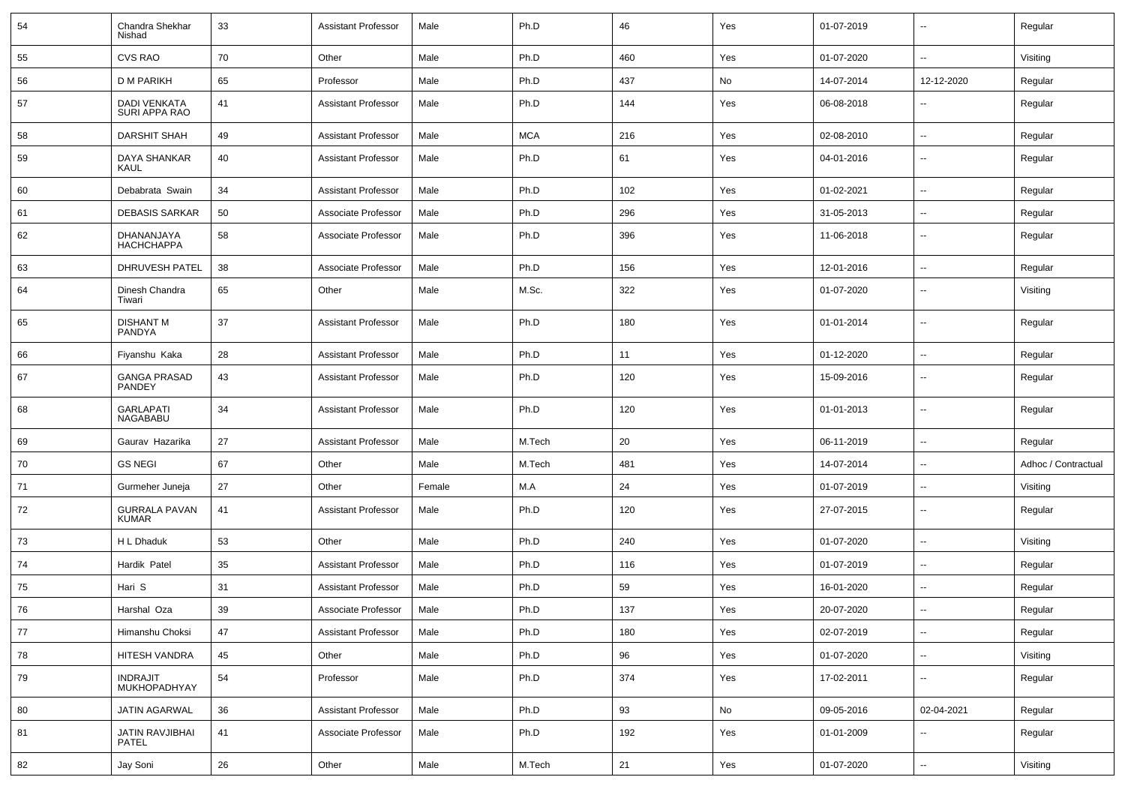| 54 | Chandra Shekhar<br>Nishad            | 33 | <b>Assistant Professor</b> | Male   | Ph.D       | 46  | Yes | 01-07-2019 | $\sim$                   | Regular             |
|----|--------------------------------------|----|----------------------------|--------|------------|-----|-----|------------|--------------------------|---------------------|
| 55 | <b>CVS RAO</b>                       | 70 | Other                      | Male   | Ph.D       | 460 | Yes | 01-07-2020 | $\sim$                   | Visiting            |
| 56 | <b>D M PARIKH</b>                    | 65 | Professor                  | Male   | Ph.D       | 437 | No  | 14-07-2014 | 12-12-2020               | Regular             |
| 57 | DADI VENKATA<br>SURI APPA RAO        | 41 | <b>Assistant Professor</b> | Male   | Ph.D       | 144 | Yes | 06-08-2018 | $\overline{\phantom{a}}$ | Regular             |
| 58 | DARSHIT SHAH                         | 49 | <b>Assistant Professor</b> | Male   | <b>MCA</b> | 216 | Yes | 02-08-2010 | $\sim$                   | Regular             |
| 59 | DAYA SHANKAR<br>KAUL                 | 40 | <b>Assistant Professor</b> | Male   | Ph.D       | 61  | Yes | 04-01-2016 | $\overline{\phantom{a}}$ | Regular             |
| 60 | Debabrata Swain                      | 34 | <b>Assistant Professor</b> | Male   | Ph.D       | 102 | Yes | 01-02-2021 | $\overline{\phantom{a}}$ | Regular             |
| 61 | <b>DEBASIS SARKAR</b>                | 50 | Associate Professor        | Male   | Ph.D       | 296 | Yes | 31-05-2013 | $\overline{\phantom{a}}$ | Regular             |
| 62 | DHANANJAYA<br><b>HACHCHAPPA</b>      | 58 | Associate Professor        | Male   | Ph.D       | 396 | Yes | 11-06-2018 | $\sim$                   | Regular             |
| 63 | DHRUVESH PATEL                       | 38 | Associate Professor        | Male   | Ph.D       | 156 | Yes | 12-01-2016 | $\sim$                   | Regular             |
| 64 | Dinesh Chandra<br>Tiwari             | 65 | Other                      | Male   | M.Sc.      | 322 | Yes | 01-07-2020 | $\sim$                   | Visiting            |
| 65 | <b>DISHANT M</b><br>PANDYA           | 37 | <b>Assistant Professor</b> | Male   | Ph.D       | 180 | Yes | 01-01-2014 | $\overline{\phantom{a}}$ | Regular             |
| 66 | Fiyanshu Kaka                        | 28 | <b>Assistant Professor</b> | Male   | Ph.D       | 11  | Yes | 01-12-2020 | $\sim$                   | Regular             |
| 67 | <b>GANGA PRASAD</b><br><b>PANDEY</b> | 43 | <b>Assistant Professor</b> | Male   | Ph.D       | 120 | Yes | 15-09-2016 | $\sim$                   | Regular             |
| 68 | <b>GARLAPATI</b><br><b>NAGABABU</b>  | 34 | <b>Assistant Professor</b> | Male   | Ph.D       | 120 | Yes | 01-01-2013 | $\sim$                   | Regular             |
| 69 | Gaurav Hazarika                      | 27 | <b>Assistant Professor</b> | Male   | M.Tech     | 20  | Yes | 06-11-2019 | $\sim$                   | Regular             |
| 70 | <b>GS NEGI</b>                       | 67 | Other                      | Male   | M.Tech     | 481 | Yes | 14-07-2014 | $\overline{\phantom{a}}$ | Adhoc / Contractual |
| 71 | Gurmeher Juneja                      | 27 | Other                      | Female | M.A        | 24  | Yes | 01-07-2019 | $\overline{\phantom{a}}$ | Visiting            |
| 72 | <b>GURRALA PAVAN</b><br><b>KUMAR</b> | 41 | <b>Assistant Professor</b> | Male   | Ph.D       | 120 | Yes | 27-07-2015 | $\overline{\phantom{a}}$ | Regular             |
| 73 | H L Dhaduk                           | 53 | Other                      | Male   | Ph.D       | 240 | Yes | 01-07-2020 | $\overline{\phantom{a}}$ | Visiting            |
| 74 | Hardik Patel                         | 35 | <b>Assistant Professor</b> | Male   | Ph.D       | 116 | Yes | 01-07-2019 | $\sim$                   | Regular             |
| 75 | Hari S                               | 31 | <b>Assistant Professor</b> | Male   | Ph.D       | 59  | Yes | 16-01-2020 | $\sim$                   | Regular             |
| 76 | Harshal Oza                          | 39 | Associate Professor        | Male   | Ph.D       | 137 | Yes | 20-07-2020 | --                       | Regular             |
| 77 | Himanshu Choksi                      | 47 | <b>Assistant Professor</b> | Male   | Ph.D       | 180 | Yes | 02-07-2019 | $\sim$                   | Regular             |
| 78 | HITESH VANDRA                        | 45 | Other                      | Male   | Ph.D       | 96  | Yes | 01-07-2020 | $\sim$                   | Visiting            |
| 79 | <b>INDRAJIT</b><br>MUKHOPADHYAY      | 54 | Professor                  | Male   | Ph.D       | 374 | Yes | 17-02-2011 | $\sim$                   | Regular             |
| 80 | JATIN AGARWAL                        | 36 | <b>Assistant Professor</b> | Male   | Ph.D       | 93  | No  | 09-05-2016 | 02-04-2021               | Regular             |
| 81 | JATIN RAVJIBHAI<br>PATEL             | 41 | Associate Professor        | Male   | Ph.D       | 192 | Yes | 01-01-2009 | $\overline{\phantom{a}}$ | Regular             |
| 82 | Jay Soni                             | 26 | Other                      | Male   | M.Tech     | 21  | Yes | 01-07-2020 | $\sim$                   | Visiting            |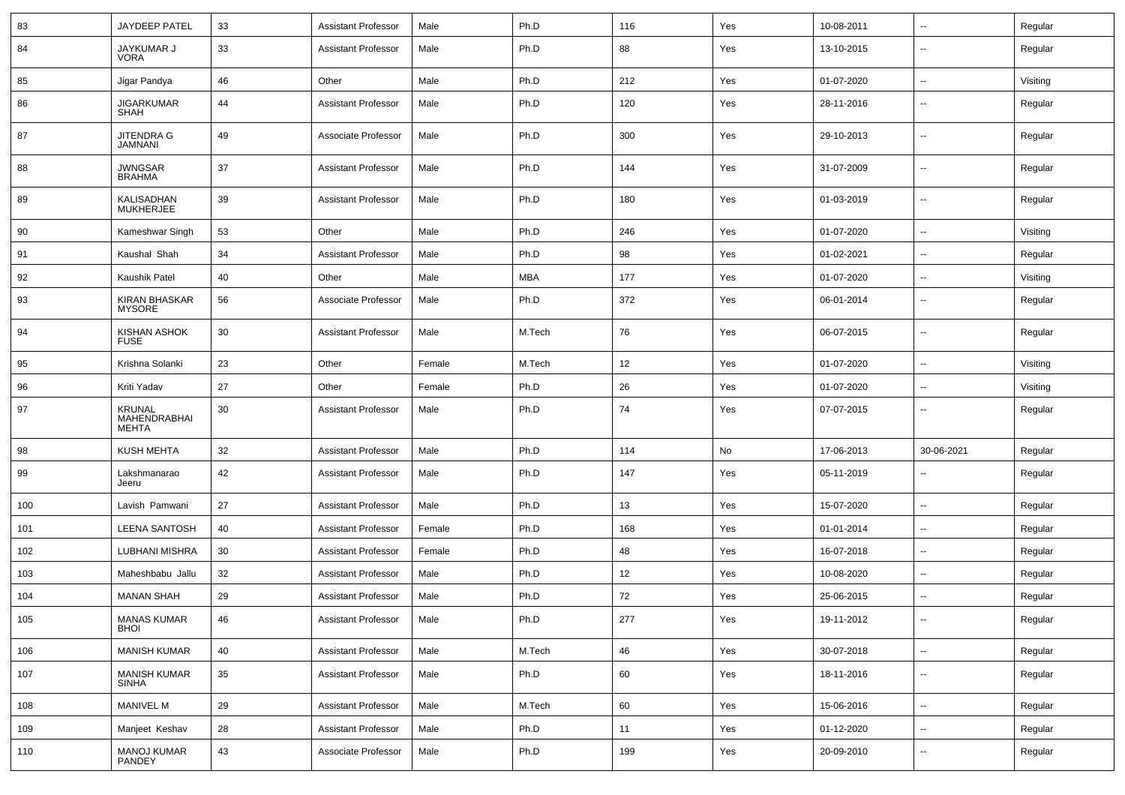| 83  | <b>JAYDEEP PATEL</b>                   | 33 | <b>Assistant Professor</b> | Male   | Ph.D       | 116 | Yes | 10-08-2011 | ⊷.                       | Regular  |
|-----|----------------------------------------|----|----------------------------|--------|------------|-----|-----|------------|--------------------------|----------|
| 84  | JAYKUMAR J<br><b>VORA</b>              | 33 | <b>Assistant Professor</b> | Male   | Ph.D       | 88  | Yes | 13-10-2015 | --                       | Regular  |
| 85  | Jigar Pandya                           | 46 | Other                      | Male   | Ph.D       | 212 | Yes | 01-07-2020 | ⊷.                       | Visiting |
| 86  | <b>JIGARKUMAR</b><br><b>SHAH</b>       | 44 | <b>Assistant Professor</b> | Male   | Ph.D       | 120 | Yes | 28-11-2016 | --                       | Regular  |
| 87  | JITENDRA G<br><b>JAMNANI</b>           | 49 | Associate Professor        | Male   | Ph.D       | 300 | Yes | 29-10-2013 | ⊷.                       | Regular  |
| 88  | <b>JWNGSAR</b><br><b>BRAHMA</b>        | 37 | <b>Assistant Professor</b> | Male   | Ph.D       | 144 | Yes | 31-07-2009 | $\overline{\phantom{a}}$ | Regular  |
| 89  | KALISADHAN<br><b>MUKHERJEE</b>         | 39 | <b>Assistant Professor</b> | Male   | Ph.D       | 180 | Yes | 01-03-2019 | ⊷.                       | Regular  |
| 90  | Kameshwar Singh                        | 53 | Other                      | Male   | Ph.D       | 246 | Yes | 01-07-2020 | $\overline{\phantom{a}}$ | Visiting |
| 91  | Kaushal Shah                           | 34 | <b>Assistant Professor</b> | Male   | Ph.D       | 98  | Yes | 01-02-2021 | --                       | Regular  |
| 92  | Kaushik Patel                          | 40 | Other                      | Male   | <b>MBA</b> | 177 | Yes | 01-07-2020 | --                       | Visiting |
| 93  | <b>KIRAN BHASKAR</b><br><b>MYSORE</b>  | 56 | Associate Professor        | Male   | Ph.D       | 372 | Yes | 06-01-2014 | ⊷.                       | Regular  |
| 94  | <b>KISHAN ASHOK</b><br><b>FUSE</b>     | 30 | <b>Assistant Professor</b> | Male   | M.Tech     | 76  | Yes | 06-07-2015 | ⊷.                       | Regular  |
| 95  | Krishna Solanki                        | 23 | Other                      | Female | M.Tech     | 12  | Yes | 01-07-2020 | $\overline{\phantom{a}}$ | Visiting |
| 96  | Kriti Yadav                            | 27 | Other                      | Female | Ph.D       | 26  | Yes | 01-07-2020 | $\overline{\phantom{a}}$ | Visiting |
| 97  | KRUNAL<br><b>MAHENDRABHAI</b><br>MEHTA | 30 | <b>Assistant Professor</b> | Male   | Ph.D       | 74  | Yes | 07-07-2015 | --                       | Regular  |
| 98  | <b>KUSH MEHTA</b>                      | 32 | <b>Assistant Professor</b> | Male   | Ph.D       | 114 | No  | 17-06-2013 | 30-06-2021               | Regular  |
| 99  | Lakshmanarao<br>Jeeru                  | 42 | <b>Assistant Professor</b> | Male   | Ph.D       | 147 | Yes | 05-11-2019 | ⊷.                       | Regular  |
| 100 | Lavish Pamwani                         | 27 | <b>Assistant Professor</b> | Male   | Ph.D       | 13  | Yes | 15-07-2020 | -−                       | Regular  |
| 101 | <b>LEENA SANTOSH</b>                   | 40 | <b>Assistant Professor</b> | Female | Ph.D       | 168 | Yes | 01-01-2014 | $\overline{\phantom{a}}$ | Regular  |
| 102 | LUBHANI MISHRA                         | 30 | <b>Assistant Professor</b> | Female | Ph.D       | 48  | Yes | 16-07-2018 | --                       | Regular  |
| 103 | Maheshbabu Jallu                       | 32 | <b>Assistant Professor</b> | Male   | Ph.D       | 12  | Yes | 10-08-2020 | --                       | Regular  |
| 104 | <b>MANAN SHAH</b>                      | 29 | <b>Assistant Professor</b> | Male   | Ph.D       | 72  | Yes | 25-06-2015 | Ξ.                       | Regular  |
| 105 | <b>MANAS KUMAR</b><br><b>BHOI</b>      | 46 | <b>Assistant Professor</b> | Male   | Ph.D       | 277 | Yes | 19-11-2012 | $\sim$                   | Regular  |
| 106 | <b>MANISH KUMAR</b>                    | 40 | <b>Assistant Professor</b> | Male   | M.Tech     | 46  | Yes | 30-07-2018 | $\overline{\phantom{a}}$ | Regular  |
| 107 | <b>MANISH KUMAR</b><br><b>SINHA</b>    | 35 | Assistant Professor        | Male   | Ph.D       | 60  | Yes | 18-11-2016 | н.                       | Regular  |
| 108 | MANIVEL M                              | 29 | <b>Assistant Professor</b> | Male   | M.Tech     | 60  | Yes | 15-06-2016 | $\overline{\phantom{a}}$ | Regular  |
| 109 | Manjeet Keshav                         | 28 | <b>Assistant Professor</b> | Male   | Ph.D       | 11  | Yes | 01-12-2020 | $\sim$                   | Regular  |
| 110 | MANOJ KUMAR<br>PANDEY                  | 43 | Associate Professor        | Male   | Ph.D       | 199 | Yes | 20-09-2010 | н.                       | Regular  |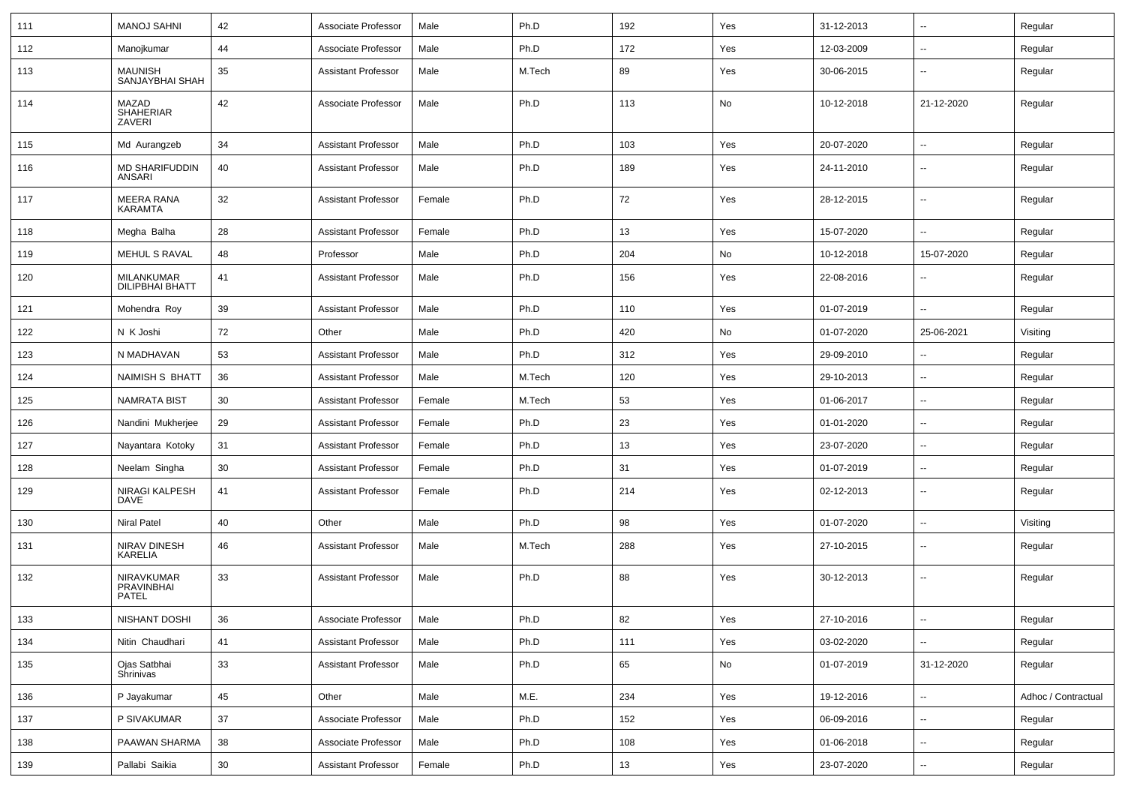| 111 | <b>MANOJ SAHNI</b>                              | 42              | Associate Professor        | Male   | Ph.D   | 192 | Yes | 31-12-2013 | ⊷.                       | Regular             |
|-----|-------------------------------------------------|-----------------|----------------------------|--------|--------|-----|-----|------------|--------------------------|---------------------|
| 112 | Manojkumar                                      | 44              | Associate Professor        | Male   | Ph.D   | 172 | Yes | 12-03-2009 | --                       | Regular             |
| 113 | <b>MAUNISH</b><br>SANJAYBHAI SHAH               | 35              | <b>Assistant Professor</b> | Male   | M.Tech | 89  | Yes | 30-06-2015 | --                       | Regular             |
| 114 | MAZAD<br><b>SHAHERIAR</b><br>ZAVERI             | 42              | Associate Professor        | Male   | Ph.D   | 113 | No  | 10-12-2018 | 21-12-2020               | Regular             |
| 115 | Md Aurangzeb                                    | 34              | <b>Assistant Professor</b> | Male   | Ph.D   | 103 | Yes | 20-07-2020 | -−                       | Regular             |
| 116 | MD SHARIFUDDIN<br>ANSARI                        | 40              | <b>Assistant Professor</b> | Male   | Ph.D   | 189 | Yes | 24-11-2010 | --                       | Regular             |
| 117 | MEERA RANA<br><b>KARAMTA</b>                    | 32              | <b>Assistant Professor</b> | Female | Ph.D   | 72  | Yes | 28-12-2015 | $\overline{\phantom{a}}$ | Regular             |
| 118 | Megha Balha                                     | 28              | <b>Assistant Professor</b> | Female | Ph.D   | 13  | Yes | 15-07-2020 | -−                       | Regular             |
| 119 | MEHUL S RAVAL                                   | 48              | Professor                  | Male   | Ph.D   | 204 | No  | 10-12-2018 | 15-07-2020               | Regular             |
| 120 | <b>MILANKUMAR</b><br><b>DILIPBHAI BHATT</b>     | 41              | <b>Assistant Professor</b> | Male   | Ph.D   | 156 | Yes | 22-08-2016 | --                       | Regular             |
| 121 | Mohendra Roy                                    | 39              | <b>Assistant Professor</b> | Male   | Ph.D   | 110 | Yes | 01-07-2019 |                          | Regular             |
| 122 | N K Joshi                                       | 72              | Other                      | Male   | Ph.D   | 420 | No  | 01-07-2020 | 25-06-2021               | Visiting            |
| 123 | N MADHAVAN                                      | 53              | <b>Assistant Professor</b> | Male   | Ph.D   | 312 | Yes | 29-09-2010 | $\overline{\phantom{a}}$ | Regular             |
| 124 | NAIMISH S BHATT                                 | 36              | <b>Assistant Professor</b> | Male   | M.Tech | 120 | Yes | 29-10-2013 | --                       | Regular             |
| 125 | <b>NAMRATA BIST</b>                             | 30              | <b>Assistant Professor</b> | Female | M.Tech | 53  | Yes | 01-06-2017 | $\overline{\phantom{a}}$ | Regular             |
| 126 | Nandini Mukherjee                               | 29              | <b>Assistant Professor</b> | Female | Ph.D   | 23  | Yes | 01-01-2020 | $\overline{a}$           | Regular             |
| 127 | Nayantara Kotoky                                | 31              | <b>Assistant Professor</b> | Female | Ph.D   | 13  | Yes | 23-07-2020 | --                       | Regular             |
| 128 | Neelam Singha                                   | 30              | <b>Assistant Professor</b> | Female | Ph.D   | 31  | Yes | 01-07-2019 | $\overline{\phantom{a}}$ | Regular             |
| 129 | NIRAGI KALPESH<br><b>DAVE</b>                   | 41              | <b>Assistant Professor</b> | Female | Ph.D   | 214 | Yes | 02-12-2013 | --                       | Regular             |
| 130 | <b>Niral Patel</b>                              | 40              | Other                      | Male   | Ph.D   | 98  | Yes | 01-07-2020 | $\overline{\phantom{a}}$ | Visiting            |
| 131 | NIRAV DINESH<br>KARELIA                         | 46              | <b>Assistant Professor</b> | Male   | M.Tech | 288 | Yes | 27-10-2015 | --                       | Regular             |
| 132 | NIRAVKUMAR<br><b>PRAVINBHAI</b><br><b>PATEL</b> | 33              | <b>Assistant Professor</b> | Male   | Ph.D   | 88  | Yes | 30-12-2013 | --                       | Regular             |
| 133 | NISHANT DOSHI                                   | 36              | Associate Professor        | Male   | Ph.D   | 82  | Yes | 27-10-2016 | $\sim$                   | Regular             |
| 134 | Nitin Chaudhari                                 | 41              | <b>Assistant Professor</b> | Male   | Ph.D   | 111 | Yes | 03-02-2020 | $\overline{\phantom{a}}$ | Regular             |
| 135 | Ojas Satbhai<br>Shrinivas                       | 33              | <b>Assistant Professor</b> | Male   | Ph.D   | 65  | No  | 01-07-2019 | 31-12-2020               | Regular             |
| 136 | P Jayakumar                                     | 45              | Other                      | Male   | M.E.   | 234 | Yes | 19-12-2016 | н.                       | Adhoc / Contractual |
| 137 | P SIVAKUMAR                                     | 37              | Associate Professor        | Male   | Ph.D   | 152 | Yes | 06-09-2016 | $\sim$                   | Regular             |
| 138 | PAAWAN SHARMA                                   | 38              | Associate Professor        | Male   | Ph.D   | 108 | Yes | 01-06-2018 | н.                       | Regular             |
| 139 | Pallabi Saikia                                  | 30 <sup>°</sup> | <b>Assistant Professor</b> | Female | Ph.D   | 13  | Yes | 23-07-2020 | н.                       | Regular             |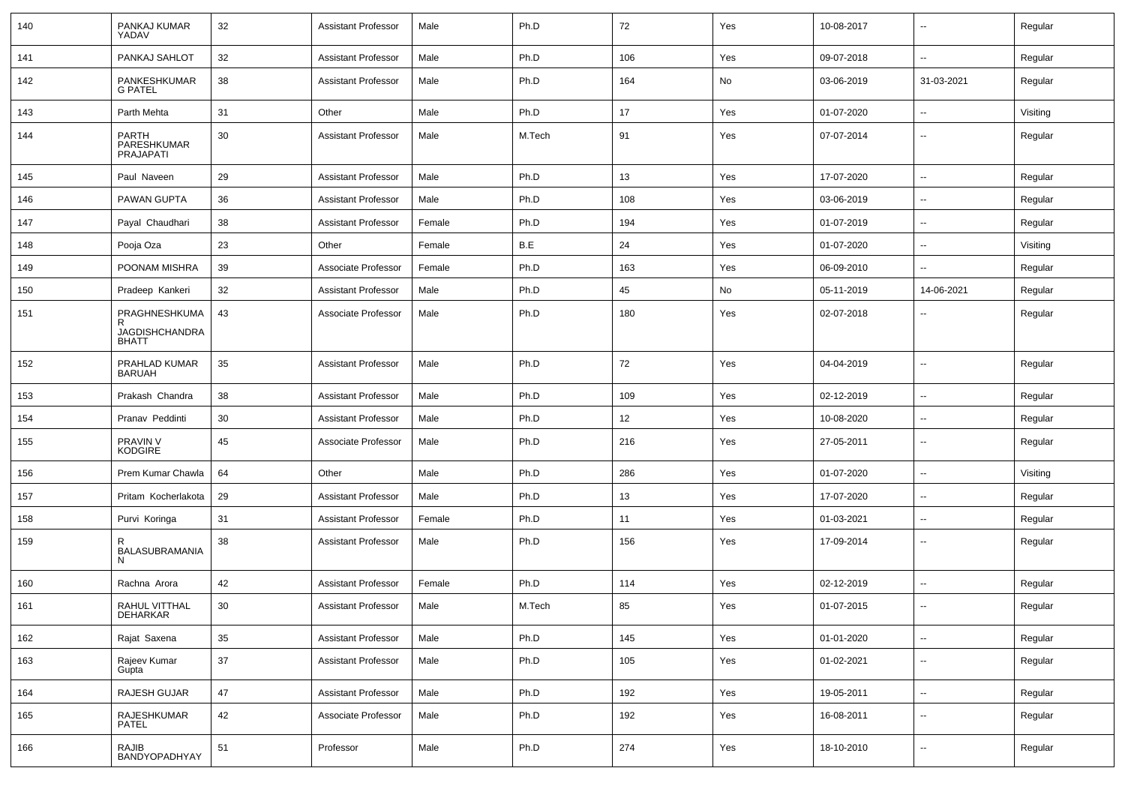| 140 | PANKAJ KUMAR<br>YADAV                                       | 32 | <b>Assistant Professor</b> | Male   | Ph.D   | 72  | Yes | 10-08-2017 |                          | Regular  |
|-----|-------------------------------------------------------------|----|----------------------------|--------|--------|-----|-----|------------|--------------------------|----------|
| 141 | PANKAJ SAHLOT                                               | 32 | <b>Assistant Professor</b> | Male   | Ph.D   | 106 | Yes | 09-07-2018 | $\overline{\phantom{a}}$ | Regular  |
| 142 | PANKESHKUMAR<br><b>G PATEL</b>                              | 38 | <b>Assistant Professor</b> | Male   | Ph.D   | 164 | No  | 03-06-2019 | 31-03-2021               | Regular  |
| 143 | Parth Mehta                                                 | 31 | Other                      | Male   | Ph.D   | 17  | Yes | 01-07-2020 | $\overline{\phantom{a}}$ | Visiting |
| 144 | PARTH<br>PARESHKUMAR<br>PRAJAPATI                           | 30 | <b>Assistant Professor</b> | Male   | M.Tech | 91  | Yes | 07-07-2014 | --                       | Regular  |
| 145 | Paul Naveen                                                 | 29 | <b>Assistant Professor</b> | Male   | Ph.D   | 13  | Yes | 17-07-2020 | $\overline{\phantom{a}}$ | Regular  |
| 146 | PAWAN GUPTA                                                 | 36 | <b>Assistant Professor</b> | Male   | Ph.D   | 108 | Yes | 03-06-2019 | --                       | Regular  |
| 147 | Payal Chaudhari                                             | 38 | <b>Assistant Professor</b> | Female | Ph.D   | 194 | Yes | 01-07-2019 |                          | Regular  |
| 148 | Pooja Oza                                                   | 23 | Other                      | Female | B.E    | 24  | Yes | 01-07-2020 | $\overline{\phantom{a}}$ | Visiting |
| 149 | POONAM MISHRA                                               | 39 | Associate Professor        | Female | Ph.D   | 163 | Yes | 06-09-2010 | ⊷.                       | Regular  |
| 150 | Pradeep Kankeri                                             | 32 | <b>Assistant Professor</b> | Male   | Ph.D   | 45  | No  | 05-11-2019 | 14-06-2021               | Regular  |
| 151 | PRAGHNESHKUMA<br>R<br><b>JAGDISHCHANDRA</b><br><b>BHATT</b> | 43 | Associate Professor        | Male   | Ph.D   | 180 | Yes | 02-07-2018 | --                       | Regular  |
| 152 | PRAHLAD KUMAR<br>BARUAH                                     | 35 | <b>Assistant Professor</b> | Male   | Ph.D   | 72  | Yes | 04-04-2019 | н.                       | Regular  |
| 153 | Prakash Chandra                                             | 38 | <b>Assistant Professor</b> | Male   | Ph.D   | 109 | Yes | 02-12-2019 | ⊷.                       | Regular  |
| 154 | Pranav Peddinti                                             | 30 | <b>Assistant Professor</b> | Male   | Ph.D   | 12  | Yes | 10-08-2020 | --                       | Regular  |
| 155 | PRAVIN V<br><b>KODGIRE</b>                                  | 45 | Associate Professor        | Male   | Ph.D   | 216 | Yes | 27-05-2011 | $\overline{\phantom{a}}$ | Regular  |
| 156 | Prem Kumar Chawla                                           | 64 | Other                      | Male   | Ph.D   | 286 | Yes | 01-07-2020 | $\overline{\phantom{a}}$ | Visiting |
| 157 | Pritam Kocherlakota                                         | 29 | <b>Assistant Professor</b> | Male   | Ph.D   | 13  | Yes | 17-07-2020 | $\overline{\phantom{a}}$ | Regular  |
| 158 | Purvi Koringa                                               | 31 | <b>Assistant Professor</b> | Female | Ph.D   | 11  | Yes | 01-03-2021 | --                       | Regular  |
| 159 | R<br>BALASUBRAMANIA<br>N                                    | 38 | <b>Assistant Professor</b> | Male   | Ph.D   | 156 | Yes | 17-09-2014 | $\overline{\phantom{a}}$ | Regular  |
| 160 | Rachna Arora                                                | 42 | <b>Assistant Professor</b> | Female | Ph.D   | 114 | Yes | 02-12-2019 | --                       | Regular  |
| 161 | RAHUL VITTHAL<br>DEHARKAR                                   | 30 | <b>Assistant Professor</b> | Male   | M.Tech | 85  | Yes | 01-07-2015 | $\overline{\phantom{a}}$ | Regular  |
| 162 | Rajat Saxena                                                | 35 | Assistant Professor        | Male   | Ph.D   | 145 | Yes | 01-01-2020 | $\overline{\phantom{a}}$ | Regular  |
| 163 | Rajeev Kumar<br>Gupta                                       | 37 | <b>Assistant Professor</b> | Male   | Ph.D   | 105 | Yes | 01-02-2021 | $\overline{\phantom{a}}$ | Regular  |
| 164 | RAJESH GUJAR                                                | 47 | <b>Assistant Professor</b> | Male   | Ph.D   | 192 | Yes | 19-05-2011 | $\overline{\phantom{a}}$ | Regular  |
| 165 | RAJESHKUMAR<br>PATEL                                        | 42 | Associate Professor        | Male   | Ph.D   | 192 | Yes | 16-08-2011 | $\sim$                   | Regular  |
| 166 | RAJIB<br>BANDYOPADHYAY                                      | 51 | Professor                  | Male   | Ph.D   | 274 | Yes | 18-10-2010 | н.                       | Regular  |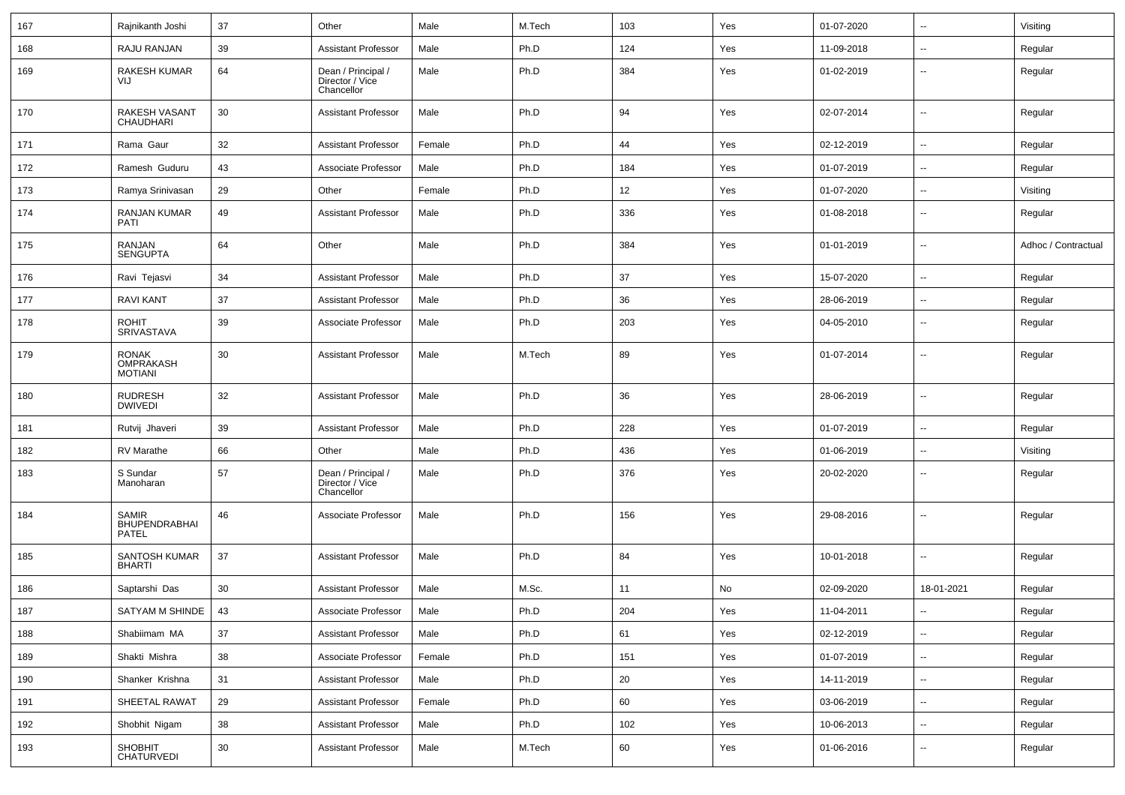| 167 | Rajnikanth Joshi                              | 37 | Other                                               | Male   | M.Tech | 103 | Yes | 01-07-2020 | $\sim$                   | Visiting            |
|-----|-----------------------------------------------|----|-----------------------------------------------------|--------|--------|-----|-----|------------|--------------------------|---------------------|
| 168 | RAJU RANJAN                                   | 39 | <b>Assistant Professor</b>                          | Male   | Ph.D   | 124 | Yes | 11-09-2018 | -−                       | Regular             |
| 169 | <b>RAKESH KUMAR</b><br>VIJ                    | 64 | Dean / Principal /<br>Director / Vice<br>Chancellor | Male   | Ph.D   | 384 | Yes | 01-02-2019 | $\overline{\phantom{a}}$ | Regular             |
| 170 | RAKESH VASANT<br>CHAUDHARI                    | 30 | <b>Assistant Professor</b>                          | Male   | Ph.D   | 94  | Yes | 02-07-2014 | --                       | Regular             |
| 171 | Rama Gaur                                     | 32 | <b>Assistant Professor</b>                          | Female | Ph.D   | 44  | Yes | 02-12-2019 | $\overline{\phantom{a}}$ | Regular             |
| 172 | Ramesh Guduru                                 | 43 | Associate Professor                                 | Male   | Ph.D   | 184 | Yes | 01-07-2019 | $\overline{a}$           | Regular             |
| 173 | Ramya Srinivasan                              | 29 | Other                                               | Female | Ph.D   | 12  | Yes | 01-07-2020 | $\overline{\phantom{a}}$ | Visiting            |
| 174 | <b>RANJAN KUMAR</b><br><b>PATI</b>            | 49 | <b>Assistant Professor</b>                          | Male   | Ph.D   | 336 | Yes | 01-08-2018 | --                       | Regular             |
| 175 | RANJAN<br><b>SENGUPTA</b>                     | 64 | Other                                               | Male   | Ph.D   | 384 | Yes | 01-01-2019 | --                       | Adhoc / Contractual |
| 176 | Ravi Tejasvi                                  | 34 | <b>Assistant Professor</b>                          | Male   | Ph.D   | 37  | Yes | 15-07-2020 | $\overline{\phantom{a}}$ | Regular             |
| 177 | <b>RAVI KANT</b>                              | 37 | <b>Assistant Professor</b>                          | Male   | Ph.D   | 36  | Yes | 28-06-2019 | $\overline{a}$           | Regular             |
| 178 | <b>ROHIT</b><br>SRIVASTAVA                    | 39 | Associate Professor                                 | Male   | Ph.D   | 203 | Yes | 04-05-2010 | $\overline{\phantom{a}}$ | Regular             |
| 179 | <b>RONAK</b><br>OMPRAKASH<br><b>MOTIANI</b>   | 30 | <b>Assistant Professor</b>                          | Male   | M.Tech | 89  | Yes | 01-07-2014 | $\overline{\phantom{a}}$ | Regular             |
| 180 | <b>RUDRESH</b><br><b>DWIVEDI</b>              | 32 | <b>Assistant Professor</b>                          | Male   | Ph.D   | 36  | Yes | 28-06-2019 | $\overline{\phantom{a}}$ | Regular             |
| 181 | Rutvij Jhaveri                                | 39 | <b>Assistant Professor</b>                          | Male   | Ph.D   | 228 | Yes | 01-07-2019 | $\overline{a}$           | Regular             |
| 182 | RV Marathe                                    | 66 | Other                                               | Male   | Ph.D   | 436 | Yes | 01-06-2019 | $\sim$                   | Visiting            |
| 183 | S Sundar<br>Manoharan                         | 57 | Dean / Principal /<br>Director / Vice<br>Chancellor | Male   | Ph.D   | 376 | Yes | 20-02-2020 | $\overline{\phantom{a}}$ | Regular             |
| 184 | <b>SAMIR</b><br>BHUPENDRABHAI<br><b>PATEL</b> | 46 | Associate Professor                                 | Male   | Ph.D   | 156 | Yes | 29-08-2016 | $\overline{\phantom{a}}$ | Regular             |
| 185 | SANTOSH KUMAR<br><b>BHARTI</b>                | 37 | <b>Assistant Professor</b>                          | Male   | Ph.D   | 84  | Yes | 10-01-2018 | $\overline{\phantom{a}}$ | Regular             |
| 186 | Saptarshi Das                                 | 30 | <b>Assistant Professor</b>                          | Male   | M.Sc.  | 11  | No  | 02-09-2020 | 18-01-2021               | Regular             |
| 187 | SATYAM M SHINDE                               | 43 | Associate Professor                                 | Male   | Ph.D   | 204 | Yes | 11-04-2011 |                          | Regular             |
| 188 | Shabiimam MA                                  | 37 | <b>Assistant Professor</b>                          | Male   | Ph.D   | 61  | Yes | 02-12-2019 | $\sim$                   | Regular             |
| 189 | Shakti Mishra                                 | 38 | Associate Professor                                 | Female | Ph.D   | 151 | Yes | 01-07-2019 | $\sim$                   | Regular             |
| 190 | Shanker Krishna                               | 31 | <b>Assistant Professor</b>                          | Male   | Ph.D   | 20  | Yes | 14-11-2019 | н.                       | Regular             |
| 191 | SHEETAL RAWAT                                 | 29 | <b>Assistant Professor</b>                          | Female | Ph.D   | 60  | Yes | 03-06-2019 | $\sim$                   | Regular             |
| 192 | Shobhit Nigam                                 | 38 | Assistant Professor                                 | Male   | Ph.D   | 102 | Yes | 10-06-2013 | $\sim$                   | Regular             |
| 193 | SHOBHIT<br>CHATURVEDI                         | 30 | <b>Assistant Professor</b>                          | Male   | M.Tech | 60  | Yes | 01-06-2016 | $\sim$                   | Regular             |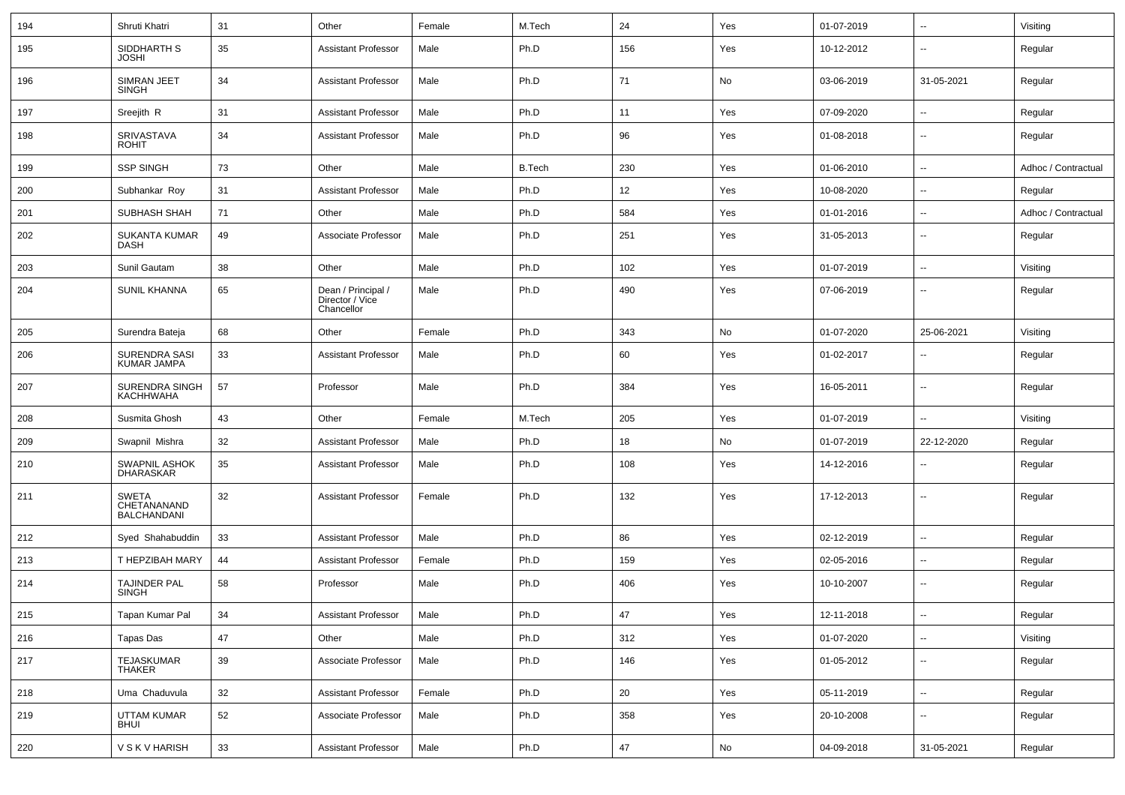| 194 | Shruti Khatri                                     | 31 | Other                                               | Female | M.Tech        | 24  | Yes | 01-07-2019 | $\overline{\phantom{a}}$ | Visiting            |
|-----|---------------------------------------------------|----|-----------------------------------------------------|--------|---------------|-----|-----|------------|--------------------------|---------------------|
| 195 | SIDDHARTH S<br><b>JOSHI</b>                       | 35 | <b>Assistant Professor</b>                          | Male   | Ph.D          | 156 | Yes | 10-12-2012 | $\overline{\phantom{a}}$ | Regular             |
| 196 | SIMRAN JEET<br><b>SINGH</b>                       | 34 | <b>Assistant Professor</b>                          | Male   | Ph.D          | 71  | No  | 03-06-2019 | 31-05-2021               | Regular             |
| 197 | Sreejith R                                        | 31 | <b>Assistant Professor</b>                          | Male   | Ph.D          | 11  | Yes | 07-09-2020 | Ξ.                       | Regular             |
| 198 | SRIVASTAVA<br><b>ROHIT</b>                        | 34 | <b>Assistant Professor</b>                          | Male   | Ph.D          | 96  | Yes | 01-08-2018 | --                       | Regular             |
| 199 | <b>SSP SINGH</b>                                  | 73 | Other                                               | Male   | <b>B.Tech</b> | 230 | Yes | 01-06-2010 | --                       | Adhoc / Contractual |
| 200 | Subhankar Roy                                     | 31 | <b>Assistant Professor</b>                          | Male   | Ph.D          | 12  | Yes | 10-08-2020 | $\overline{\phantom{a}}$ | Regular             |
| 201 | SUBHASH SHAH                                      | 71 | Other                                               | Male   | Ph.D          | 584 | Yes | 01-01-2016 | Ξ.                       | Adhoc / Contractual |
| 202 | <b>SUKANTA KUMAR</b><br><b>DASH</b>               | 49 | Associate Professor                                 | Male   | Ph.D          | 251 | Yes | 31-05-2013 | $\overline{\phantom{a}}$ | Regular             |
| 203 | Sunil Gautam                                      | 38 | Other                                               | Male   | Ph.D          | 102 | Yes | 01-07-2019 | $\overline{\phantom{a}}$ | Visiting            |
| 204 | <b>SUNIL KHANNA</b>                               | 65 | Dean / Principal /<br>Director / Vice<br>Chancellor | Male   | Ph.D          | 490 | Yes | 07-06-2019 | $\overline{\phantom{a}}$ | Regular             |
| 205 | Surendra Bateja                                   | 68 | Other                                               | Female | Ph.D          | 343 | No  | 01-07-2020 | 25-06-2021               | Visiting            |
| 206 | SURENDRA SASI<br>KUMAR JAMPA                      | 33 | <b>Assistant Professor</b>                          | Male   | Ph.D          | 60  | Yes | 01-02-2017 | $\overline{\phantom{a}}$ | Regular             |
| 207 | SURENDRA SINGH<br><b>KACHHWAHA</b>                | 57 | Professor                                           | Male   | Ph.D          | 384 | Yes | 16-05-2011 | $\overline{\phantom{a}}$ | Regular             |
| 208 | Susmita Ghosh                                     | 43 | Other                                               | Female | M.Tech        | 205 | Yes | 01-07-2019 | Ξ.                       | Visiting            |
| 209 | Swapnil Mishra                                    | 32 | <b>Assistant Professor</b>                          | Male   | Ph.D          | 18  | No  | 01-07-2019 | 22-12-2020               | Regular             |
| 210 | SWAPNIL ASHOK<br>DHARASKAR                        | 35 | <b>Assistant Professor</b>                          | Male   | Ph.D          | 108 | Yes | 14-12-2016 | $\overline{\phantom{a}}$ | Regular             |
| 211 | <b>SWETA</b><br>CHETANANAND<br><b>BALCHANDANI</b> | 32 | <b>Assistant Professor</b>                          | Female | Ph.D          | 132 | Yes | 17-12-2013 | --                       | Regular             |
| 212 | Syed Shahabuddin                                  | 33 | <b>Assistant Professor</b>                          | Male   | Ph.D          | 86  | Yes | 02-12-2019 | Ξ.                       | Regular             |
| 213 | T HEPZIBAH MARY                                   | 44 | <b>Assistant Professor</b>                          | Female | Ph.D          | 159 | Yes | 02-05-2016 | $\overline{\phantom{a}}$ | Regular             |
| 214 | TAJINDER PAL<br><b>SINGH</b>                      | 58 | Professor                                           | Male   | Ph.D          | 406 | Yes | 10-10-2007 | $\overline{\phantom{a}}$ | Regular             |
| 215 | Tapan Kumar Pal                                   | 34 | Assistant Professor                                 | Male   | Ph.D          | 47  | Yes | 12-11-2018 |                          | Regular             |
| 216 | Tapas Das                                         | 47 | Other                                               | Male   | Ph.D          | 312 | Yes | 01-07-2020 | Щ.                       | Visiting            |
| 217 | TEJASKUMAR<br>THAKER                              | 39 | Associate Professor                                 | Male   | Ph.D          | 146 | Yes | 01-05-2012 | $\overline{\phantom{a}}$ | Regular             |
| 218 | Uma Chaduvula                                     | 32 | <b>Assistant Professor</b>                          | Female | Ph.D          | 20  | Yes | 05-11-2019 | $\overline{\phantom{a}}$ | Regular             |
| 219 | UTTAM KUMAR<br><b>BHUI</b>                        | 52 | Associate Professor                                 | Male   | Ph.D          | 358 | Yes | 20-10-2008 | ₩,                       | Regular             |
| 220 | V S K V HARISH                                    | 33 | <b>Assistant Professor</b>                          | Male   | Ph.D          | 47  | No  | 04-09-2018 | 31-05-2021               | Regular             |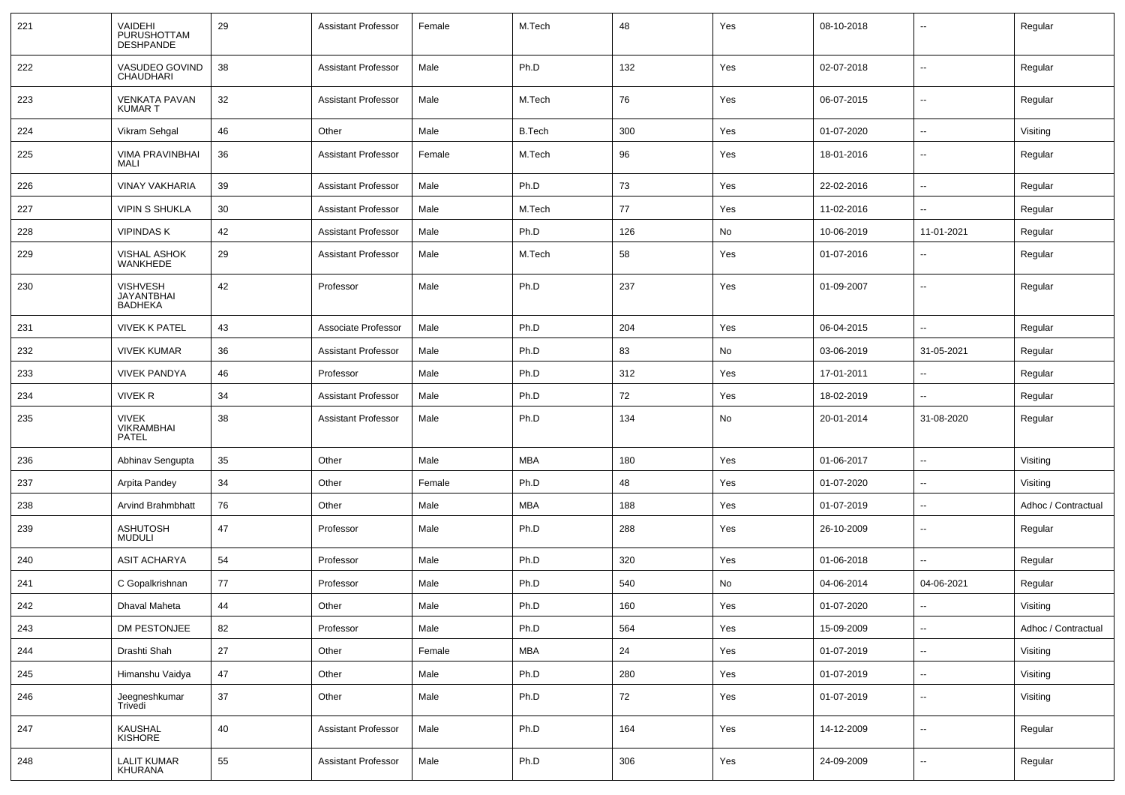| 221 | VAIDEHI<br>PURUSHOTTAM<br><b>DESHPANDE</b>        | 29 | <b>Assistant Professor</b> | Female | M.Tech        | 48  | Yes | 08-10-2018 | $\overline{\phantom{a}}$ | Regular             |
|-----|---------------------------------------------------|----|----------------------------|--------|---------------|-----|-----|------------|--------------------------|---------------------|
| 222 | VASUDEO GOVIND<br>CHAUDHARI                       | 38 | <b>Assistant Professor</b> | Male   | Ph.D          | 132 | Yes | 02-07-2018 | $\overline{\phantom{a}}$ | Regular             |
| 223 | <b>VENKATA PAVAN</b><br>KUMAR T                   | 32 | <b>Assistant Professor</b> | Male   | M.Tech        | 76  | Yes | 06-07-2015 | --                       | Regular             |
| 224 | Vikram Sehgal                                     | 46 | Other                      | Male   | <b>B.Tech</b> | 300 | Yes | 01-07-2020 | $\overline{\phantom{a}}$ | Visiting            |
| 225 | <b>VIMA PRAVINBHAI</b><br>MALI                    | 36 | <b>Assistant Professor</b> | Female | M.Tech        | 96  | Yes | 18-01-2016 | $\overline{\phantom{a}}$ | Regular             |
| 226 | <b>VINAY VAKHARIA</b>                             | 39 | <b>Assistant Professor</b> | Male   | Ph.D          | 73  | Yes | 22-02-2016 | ⊷.                       | Regular             |
| 227 | <b>VIPIN S SHUKLA</b>                             | 30 | <b>Assistant Professor</b> | Male   | M.Tech        | 77  | Yes | 11-02-2016 | --                       | Regular             |
| 228 | <b>VIPINDASK</b>                                  | 42 | <b>Assistant Professor</b> | Male   | Ph.D          | 126 | No  | 10-06-2019 | 11-01-2021               | Regular             |
| 229 | <b>VISHAL ASHOK</b><br>WANKHEDE                   | 29 | <b>Assistant Professor</b> | Male   | M.Tech        | 58  | Yes | 01-07-2016 | --                       | Regular             |
| 230 | <b>VISHVESH</b><br><b>JAYANTBHAI</b><br>BADHEKA   | 42 | Professor                  | Male   | Ph.D          | 237 | Yes | 01-09-2007 | --                       | Regular             |
| 231 | <b>VIVEK K PATEL</b>                              | 43 | Associate Professor        | Male   | Ph.D          | 204 | Yes | 06-04-2015 | --                       | Regular             |
| 232 | <b>VIVEK KUMAR</b>                                | 36 | <b>Assistant Professor</b> | Male   | Ph.D          | 83  | No  | 03-06-2019 | 31-05-2021               | Regular             |
| 233 | <b>VIVEK PANDYA</b>                               | 46 | Professor                  | Male   | Ph.D          | 312 | Yes | 17-01-2011 | --                       | Regular             |
| 234 | <b>VIVEK R</b>                                    | 34 | <b>Assistant Professor</b> | Male   | Ph.D          | 72  | Yes | 18-02-2019 | $\overline{\phantom{a}}$ | Regular             |
| 235 | <b>VIVEK</b><br><b>VIKRAMBHAI</b><br><b>PATEL</b> | 38 | <b>Assistant Professor</b> | Male   | Ph.D          | 134 | No  | 20-01-2014 | 31-08-2020               | Regular             |
| 236 | Abhinav Sengupta                                  | 35 | Other                      | Male   | <b>MBA</b>    | 180 | Yes | 01-06-2017 | $\overline{\phantom{a}}$ | Visiting            |
| 237 | Arpita Pandey                                     | 34 | Other                      | Female | Ph.D          | 48  | Yes | 01-07-2020 | ⊷.                       | Visiting            |
| 238 | Arvind Brahmbhatt                                 | 76 | Other                      | Male   | MBA           | 188 | Yes | 01-07-2019 | --                       | Adhoc / Contractual |
| 239 | <b>ASHUTOSH</b><br>MUDULI                         | 47 | Professor                  | Male   | Ph.D          | 288 | Yes | 26-10-2009 | --                       | Regular             |
| 240 | <b>ASIT ACHARYA</b>                               | 54 | Professor                  | Male   | Ph.D          | 320 | Yes | 01-06-2018 | --                       | Regular             |
| 241 | C Gopalkrishnan                                   | 77 | Professor                  | Male   | Ph.D          | 540 | No  | 04-06-2014 | 04-06-2021               | Regular             |
| 242 | Dhaval Maheta                                     | 44 | Other                      | Male   | Ph.D          | 160 | Yes | 01-07-2020 | --                       | Visiting            |
| 243 | DM PESTONJEE                                      | 82 | Professor                  | Male   | Ph.D          | 564 | Yes | 15-09-2009 | $\sim$                   | Adhoc / Contractual |
| 244 | Drashti Shah                                      | 27 | Other                      | Female | <b>MBA</b>    | 24  | Yes | 01-07-2019 | $\sim$                   | Visiting            |
| 245 | Himanshu Vaidya                                   | 47 | Other                      | Male   | Ph.D          | 280 | Yes | 01-07-2019 | $\sim$                   | Visiting            |
| 246 | Jeegneshkumar<br>Trivedi                          | 37 | Other                      | Male   | Ph.D          | 72  | Yes | 01-07-2019 | $\overline{\phantom{a}}$ | Visiting            |
| 247 | KAUSHAL<br>KISHORE                                | 40 | <b>Assistant Professor</b> | Male   | Ph.D          | 164 | Yes | 14-12-2009 | $\overline{\phantom{a}}$ | Regular             |
| 248 | <b>LALIT KUMAR</b><br>KHURANA                     | 55 | <b>Assistant Professor</b> | Male   | Ph.D          | 306 | Yes | 24-09-2009 | $\overline{\phantom{a}}$ | Regular             |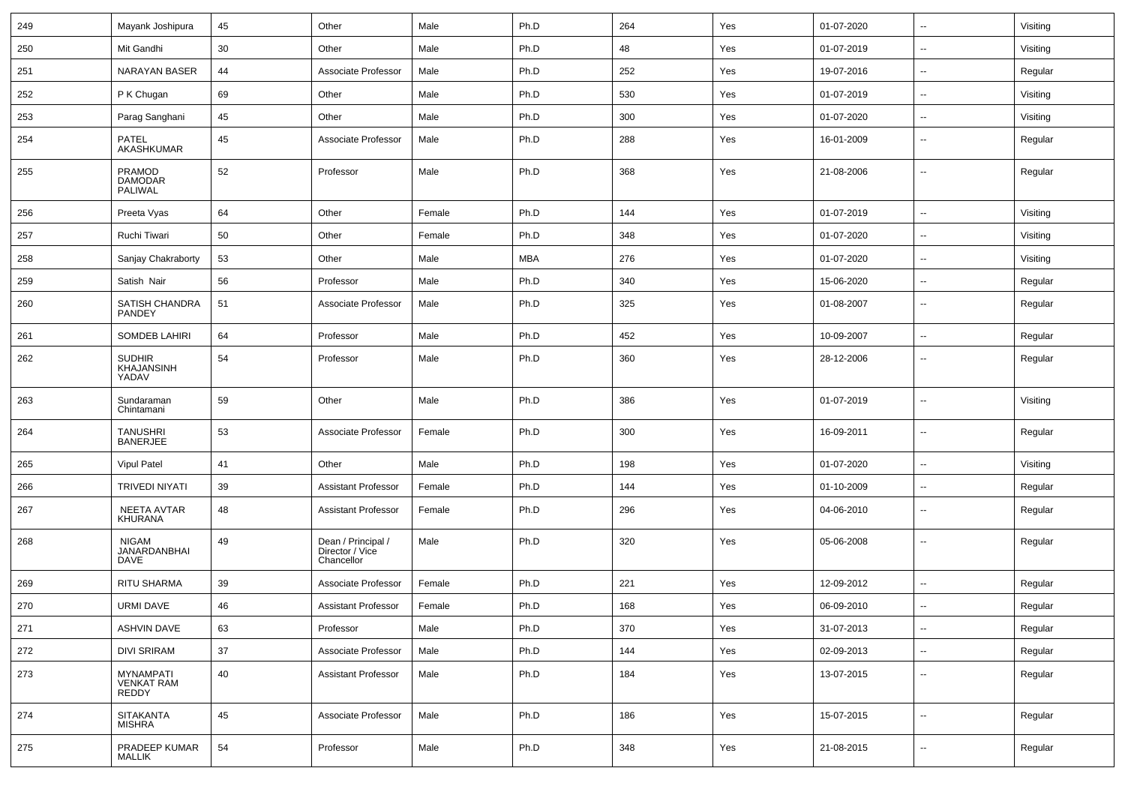| 249 | Mayank Joshipura                           | 45 | Other                                               | Male   | Ph.D       | 264 | Yes | 01-07-2020 | $\overline{\phantom{a}}$ | Visiting |
|-----|--------------------------------------------|----|-----------------------------------------------------|--------|------------|-----|-----|------------|--------------------------|----------|
| 250 | Mit Gandhi                                 | 30 | Other                                               | Male   | Ph.D       | 48  | Yes | 01-07-2019 | $\sim$                   | Visiting |
| 251 | NARAYAN BASER                              | 44 | Associate Professor                                 | Male   | Ph.D       | 252 | Yes | 19-07-2016 | $\overline{\phantom{a}}$ | Regular  |
| 252 | P K Chugan                                 | 69 | Other                                               | Male   | Ph.D       | 530 | Yes | 01-07-2019 | --                       | Visiting |
| 253 | Parag Sanghani                             | 45 | Other                                               | Male   | Ph.D       | 300 | Yes | 01-07-2020 | $\overline{\phantom{a}}$ | Visiting |
| 254 | PATEL<br>AKASHKUMAR                        | 45 | Associate Professor                                 | Male   | Ph.D       | 288 | Yes | 16-01-2009 | $\overline{\phantom{a}}$ | Regular  |
| 255 | <b>PRAMOD</b><br><b>DAMODAR</b><br>PALIWAL | 52 | Professor                                           | Male   | Ph.D       | 368 | Yes | 21-08-2006 | $\overline{\phantom{a}}$ | Regular  |
| 256 | Preeta Vyas                                | 64 | Other                                               | Female | Ph.D       | 144 | Yes | 01-07-2019 | $\overline{\phantom{a}}$ | Visiting |
| 257 | Ruchi Tiwari                               | 50 | Other                                               | Female | Ph.D       | 348 | Yes | 01-07-2020 | $\mathbf{u}$             | Visiting |
| 258 | Sanjay Chakraborty                         | 53 | Other                                               | Male   | <b>MBA</b> | 276 | Yes | 01-07-2020 | $\overline{\phantom{a}}$ | Visiting |
| 259 | Satish Nair                                | 56 | Professor                                           | Male   | Ph.D       | 340 | Yes | 15-06-2020 | $\sim$                   | Regular  |
| 260 | SATISH CHANDRA<br>PANDEY                   | 51 | Associate Professor                                 | Male   | Ph.D       | 325 | Yes | 01-08-2007 | $\sim$                   | Regular  |
| 261 | SOMDEB LAHIRI                              | 64 | Professor                                           | Male   | Ph.D       | 452 | Yes | 10-09-2007 | $\overline{\phantom{a}}$ | Regular  |
| 262 | <b>SUDHIR</b><br>KHAJANSINH<br>YADAV       | 54 | Professor                                           | Male   | Ph.D       | 360 | Yes | 28-12-2006 | --                       | Regular  |
| 263 | Sundaraman<br>Chintamani                   | 59 | Other                                               | Male   | Ph.D       | 386 | Yes | 01-07-2019 | $\overline{\phantom{a}}$ | Visiting |
| 264 | <b>TANUSHRI</b><br><b>BANERJEE</b>         | 53 | Associate Professor                                 | Female | Ph.D       | 300 | Yes | 16-09-2011 | $\overline{\phantom{a}}$ | Regular  |
| 265 | <b>Vipul Patel</b>                         | 41 | Other                                               | Male   | Ph.D       | 198 | Yes | 01-07-2020 | $\overline{\phantom{a}}$ | Visiting |
| 266 | TRIVEDI NIYATI                             | 39 | <b>Assistant Professor</b>                          | Female | Ph.D       | 144 | Yes | 01-10-2009 | $\overline{\phantom{a}}$ | Regular  |
| 267 | NEETA AVTAR<br>KHURANA                     | 48 | Assistant Professor                                 | Female | Ph.D       | 296 | Yes | 04-06-2010 | $\overline{\phantom{a}}$ | Regular  |
| 268 | NIGAM<br>JANARDANBHAI<br><b>DAVE</b>       | 49 | Dean / Principal /<br>Director / Vice<br>Chancellor | Male   | Ph.D       | 320 | Yes | 05-06-2008 | $\overline{\phantom{a}}$ | Regular  |
| 269 | <b>RITU SHARMA</b>                         | 39 | Associate Professor                                 | Female | Ph.D       | 221 | Yes | 12-09-2012 | --                       | Regular  |
| 270 | URMI DAVE                                  | 46 | <b>Assistant Professor</b>                          | Female | Ph.D       | 168 | Yes | 06-09-2010 | $\overline{\phantom{a}}$ | Regular  |
| 271 | <b>ASHVIN DAVE</b>                         | 63 | Professor                                           | Male   | Ph.D       | 370 | Yes | 31-07-2013 | $\sim$                   | Regular  |
| 272 | <b>DIVI SRIRAM</b>                         | 37 | Associate Professor                                 | Male   | Ph.D       | 144 | Yes | 02-09-2013 | $\sim$                   | Regular  |
| 273 | MYNAMPATI<br><b>VENKAT RAM</b><br>REDDY    | 40 | Assistant Professor                                 | Male   | Ph.D       | 184 | Yes | 13-07-2015 | $\sim$                   | Regular  |
| 274 | <b>SITAKANTA</b><br>MISHRA                 | 45 | Associate Professor                                 | Male   | Ph.D       | 186 | Yes | 15-07-2015 | $\overline{\phantom{a}}$ | Regular  |
| 275 | PRADEEP KUMAR<br><b>MALLIK</b>             | 54 | Professor                                           | Male   | Ph.D       | 348 | Yes | 21-08-2015 | $\overline{\phantom{a}}$ | Regular  |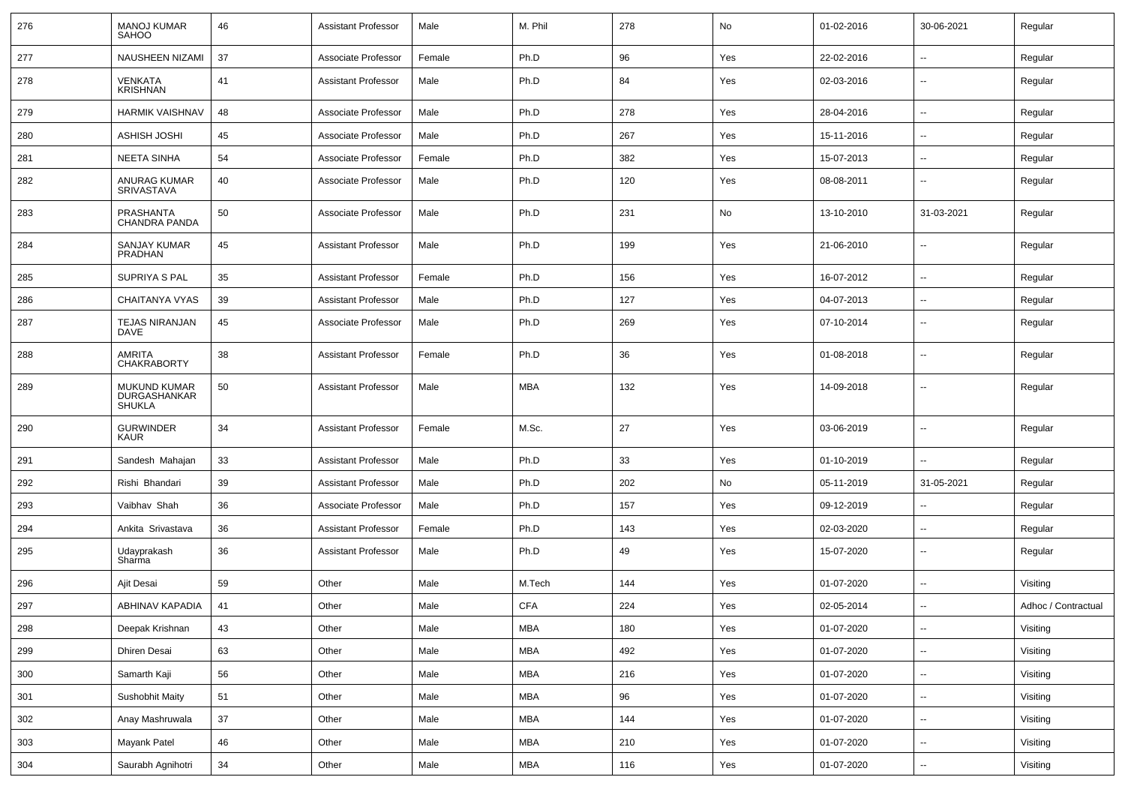| 276     | <b>MANOJ KUMAR</b><br><b>SAHOO</b>            | 46 | <b>Assistant Professor</b> | Male   | M. Phil    | 278 | No  | 01-02-2016 | 30-06-2021               | Regular             |
|---------|-----------------------------------------------|----|----------------------------|--------|------------|-----|-----|------------|--------------------------|---------------------|
| 277     | NAUSHEEN NIZAMI                               | 37 | Associate Professor        | Female | Ph.D       | 96  | Yes | 22-02-2016 | $\sim$                   | Regular             |
| 278     | VENKATA<br><b>KRISHNAN</b>                    | 41 | <b>Assistant Professor</b> | Male   | Ph.D       | 84  | Yes | 02-03-2016 | $\overline{\phantom{a}}$ | Regular             |
| 279     | <b>HARMIK VAISHNAV</b>                        | 48 | Associate Professor        | Male   | Ph.D       | 278 | Yes | 28-04-2016 | $\overline{\phantom{a}}$ | Regular             |
| 280     | <b>ASHISH JOSHI</b>                           | 45 | Associate Professor        | Male   | Ph.D       | 267 | Yes | 15-11-2016 | $\sim$                   | Regular             |
| 281     | NEETA SINHA                                   | 54 | Associate Professor        | Female | Ph.D       | 382 | Yes | 15-07-2013 | $\overline{\phantom{a}}$ | Regular             |
| 282     | ANURAG KUMAR<br>SRIVASTAVA                    | 40 | Associate Professor        | Male   | Ph.D       | 120 | Yes | 08-08-2011 | $\overline{\phantom{a}}$ | Regular             |
| 283     | PRASHANTA<br><b>CHANDRA PANDA</b>             | 50 | Associate Professor        | Male   | Ph.D       | 231 | No  | 13-10-2010 | 31-03-2021               | Regular             |
| 284     | <b>SANJAY KUMAR</b><br><b>PRADHAN</b>         | 45 | <b>Assistant Professor</b> | Male   | Ph.D       | 199 | Yes | 21-06-2010 | $\overline{\phantom{a}}$ | Regular             |
| 285     | SUPRIYA S PAL                                 | 35 | <b>Assistant Professor</b> | Female | Ph.D       | 156 | Yes | 16-07-2012 | $\overline{\phantom{a}}$ | Regular             |
| 286     | CHAITANYA VYAS                                | 39 | <b>Assistant Professor</b> | Male   | Ph.D       | 127 | Yes | 04-07-2013 | $\sim$                   | Regular             |
| 287     | <b>TEJAS NIRANJAN</b><br><b>DAVE</b>          | 45 | Associate Professor        | Male   | Ph.D       | 269 | Yes | 07-10-2014 | $\sim$                   | Regular             |
| 288     | AMRITA<br>CHAKRABORTY                         | 38 | <b>Assistant Professor</b> | Female | Ph.D       | 36  | Yes | 01-08-2018 | $\sim$                   | Regular             |
| 289     | MUKUND KUMAR<br>DURGASHANKAR<br><b>SHUKLA</b> | 50 | <b>Assistant Professor</b> | Male   | <b>MBA</b> | 132 | Yes | 14-09-2018 | $\overline{\phantom{a}}$ | Regular             |
| 290     | <b>GURWINDER</b><br><b>KAUR</b>               | 34 | <b>Assistant Professor</b> | Female | M.Sc.      | 27  | Yes | 03-06-2019 | $\sim$                   | Regular             |
| 291     | Sandesh Mahajan                               | 33 | <b>Assistant Professor</b> | Male   | Ph.D       | 33  | Yes | 01-10-2019 | $\sim$                   | Regular             |
| 292     | Rishi Bhandari                                | 39 | <b>Assistant Professor</b> | Male   | Ph.D       | 202 | No  | 05-11-2019 | 31-05-2021               | Regular             |
| 293     | Vaibhav Shah                                  | 36 | Associate Professor        | Male   | Ph.D       | 157 | Yes | 09-12-2019 | $\overline{\phantom{a}}$ | Regular             |
| 294     | Ankita Srivastava                             | 36 | <b>Assistant Professor</b> | Female | Ph.D       | 143 | Yes | 02-03-2020 | $\sim$                   | Regular             |
| 295     | Udayprakash<br>Sharma                         | 36 | <b>Assistant Professor</b> | Male   | Ph.D       | 49  | Yes | 15-07-2020 | $\sim$                   | Regular             |
| 296     | Ajit Desai                                    | 59 | Other                      | Male   | M.Tech     | 144 | Yes | 01-07-2020 |                          | Visiting            |
| 297     | ABHINAV KAPADIA                               | 41 | Other                      | Male   | <b>CFA</b> | 224 | Yes | 02-05-2014 | --                       | Adhoc / Contractual |
| 298     | Deepak Krishnan                               | 43 | Other                      | Male   | <b>MBA</b> | 180 | Yes | 01-07-2020 | $\sim$                   | Visiting            |
| 299     | Dhiren Desai                                  | 63 | Other                      | Male   | <b>MBA</b> | 492 | Yes | 01-07-2020 | $\sim$                   | Visiting            |
| $300\,$ | Samarth Kaji                                  | 56 | Other                      | Male   | <b>MBA</b> | 216 | Yes | 01-07-2020 | $\sim$                   | Visiting            |
| 301     | Sushobhit Maity                               | 51 | Other                      | Male   | <b>MBA</b> | 96  | Yes | 01-07-2020 | $\sim$                   | Visiting            |
| 302     | Anay Mashruwala                               | 37 | Other                      | Male   | MBA        | 144 | Yes | 01-07-2020 | $\sim$                   | Visiting            |
| 303     | Mayank Patel                                  | 46 | Other                      | Male   | <b>MBA</b> | 210 | Yes | 01-07-2020 | $\overline{\phantom{a}}$ | Visiting            |
| 304     | Saurabh Agnihotri                             | 34 | Other                      | Male   | MBA        | 116 | Yes | 01-07-2020 | $\sim$                   | Visiting            |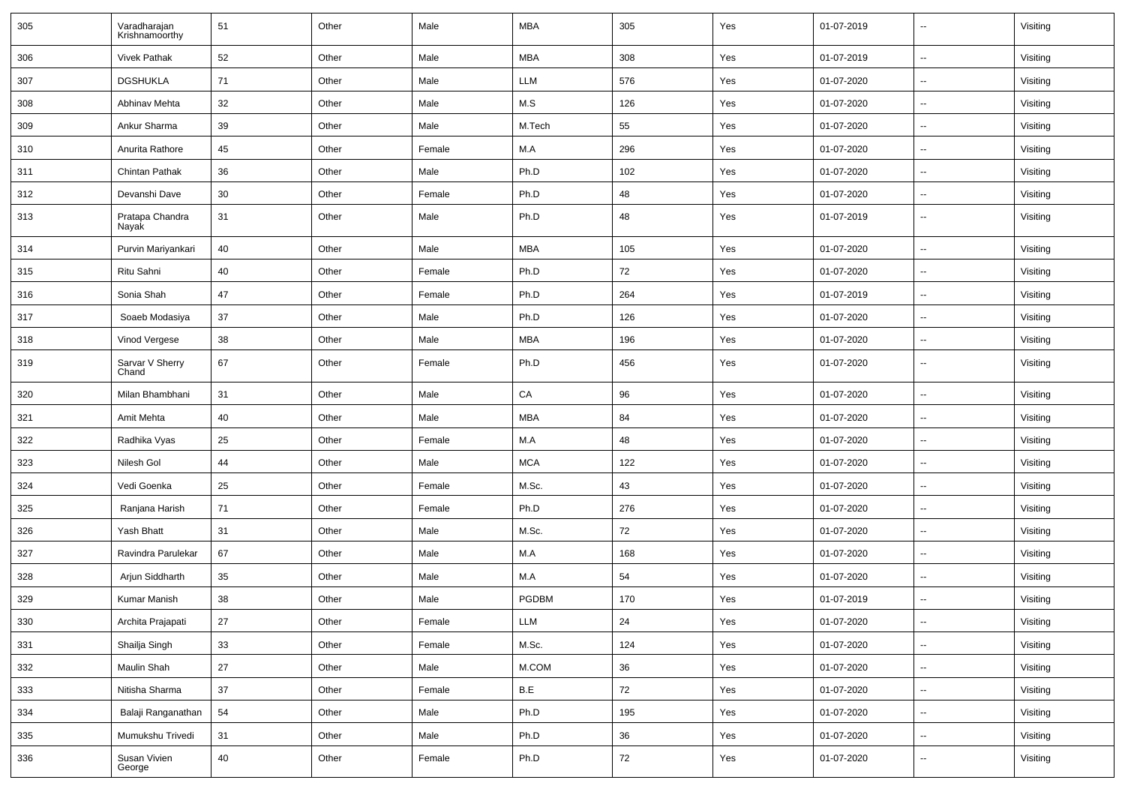| 305 | Varadharajan<br>Krishnamoorthy | 51     | Other | Male   | <b>MBA</b>                  | 305 | Yes | 01-07-2019 | $\sim$                   | Visiting |
|-----|--------------------------------|--------|-------|--------|-----------------------------|-----|-----|------------|--------------------------|----------|
| 306 | <b>Vivek Pathak</b>            | 52     | Other | Male   | <b>MBA</b>                  | 308 | Yes | 01-07-2019 | $\sim$                   | Visiting |
| 307 | <b>DGSHUKLA</b>                | 71     | Other | Male   | LLM                         | 576 | Yes | 01-07-2020 | $\sim$                   | Visiting |
| 308 | Abhinav Mehta                  | 32     | Other | Male   | M.S                         | 126 | Yes | 01-07-2020 | $\sim$                   | Visiting |
| 309 | Ankur Sharma                   | 39     | Other | Male   | M.Tech                      | 55  | Yes | 01-07-2020 | $\sim$                   | Visiting |
| 310 | Anurita Rathore                | 45     | Other | Female | M.A                         | 296 | Yes | 01-07-2020 | $\sim$                   | Visiting |
| 311 | Chintan Pathak                 | 36     | Other | Male   | Ph.D                        | 102 | Yes | 01-07-2020 | $\sim$                   | Visiting |
| 312 | Devanshi Dave                  | 30     | Other | Female | Ph.D                        | 48  | Yes | 01-07-2020 | $\sim$                   | Visiting |
| 313 | Pratapa Chandra<br>Nayak       | 31     | Other | Male   | Ph.D                        | 48  | Yes | 01-07-2019 | $\sim$                   | Visiting |
| 314 | Purvin Mariyankari             | 40     | Other | Male   | <b>MBA</b>                  | 105 | Yes | 01-07-2020 | $\sim$                   | Visiting |
| 315 | Ritu Sahni                     | 40     | Other | Female | Ph.D                        | 72  | Yes | 01-07-2020 | --                       | Visiting |
| 316 | Sonia Shah                     | 47     | Other | Female | Ph.D                        | 264 | Yes | 01-07-2019 | $\overline{\phantom{a}}$ | Visiting |
| 317 | Soaeb Modasiya                 | 37     | Other | Male   | Ph.D                        | 126 | Yes | 01-07-2020 | $\sim$                   | Visiting |
| 318 | Vinod Vergese                  | 38     | Other | Male   | <b>MBA</b>                  | 196 | Yes | 01-07-2020 | $\sim$                   | Visiting |
| 319 | Sarvar V Sherry<br>Chand       | 67     | Other | Female | Ph.D                        | 456 | Yes | 01-07-2020 | $\sim$                   | Visiting |
| 320 | Milan Bhambhani                | 31     | Other | Male   | CA                          | 96  | Yes | 01-07-2020 | $\overline{\phantom{a}}$ | Visiting |
| 321 | Amit Mehta                     | 40     | Other | Male   | <b>MBA</b>                  | 84  | Yes | 01-07-2020 | $\sim$                   | Visiting |
| 322 | Radhika Vyas                   | 25     | Other | Female | M.A                         | 48  | Yes | 01-07-2020 | $\overline{\phantom{a}}$ | Visiting |
| 323 | Nilesh Gol                     | 44     | Other | Male   | <b>MCA</b>                  | 122 | Yes | 01-07-2020 | $\sim$                   | Visiting |
| 324 | Vedi Goenka                    | 25     | Other | Female | M.Sc.                       | 43  | Yes | 01-07-2020 | $\sim$                   | Visiting |
| 325 | Ranjana Harish                 | 71     | Other | Female | Ph.D                        | 276 | Yes | 01-07-2020 | $\sim$                   | Visiting |
| 326 | Yash Bhatt                     | 31     | Other | Male   | M.Sc.                       | 72  | Yes | 01-07-2020 | $\sim$                   | Visiting |
| 327 | Ravindra Parulekar             | 67     | Other | Male   | M.A                         | 168 | Yes | 01-07-2020 | $\sim$                   | Visiting |
| 328 | Arjun Siddharth                | 35     | Other | Male   | M.A                         | 54  | Yes | 01-07-2020 | $\overline{\phantom{a}}$ | Visiting |
| 329 | Kumar Manish                   | 38     | Other | Male   | PGDBM                       | 170 | Yes | 01-07-2019 | $\overline{\phantom{a}}$ | Visiting |
| 330 | Archita Prajapati              | $27\,$ | Other | Female | $\ensuremath{\mathsf{LLM}}$ | 24  | Yes | 01-07-2020 | $\sim$                   | Visiting |
| 331 | Shailja Singh                  | 33     | Other | Female | M.Sc.                       | 124 | Yes | 01-07-2020 | $\sim$                   | Visiting |
| 332 | Maulin Shah                    | 27     | Other | Male   | $M.$ COM                    | 36  | Yes | 01-07-2020 | $\sim$                   | Visiting |
| 333 | Nitisha Sharma                 | 37     | Other | Female | B.E                         | 72  | Yes | 01-07-2020 | $\sim$                   | Visiting |
| 334 | Balaji Ranganathan             | 54     | Other | Male   | Ph.D                        | 195 | Yes | 01-07-2020 | $\sim$                   | Visiting |
| 335 | Mumukshu Trivedi               | 31     | Other | Male   | Ph.D                        | 36  | Yes | 01-07-2020 | $\sim$                   | Visiting |
| 336 | Susan Vivien<br>George         | 40     | Other | Female | Ph.D                        | 72  | Yes | 01-07-2020 | $\sim$                   | Visiting |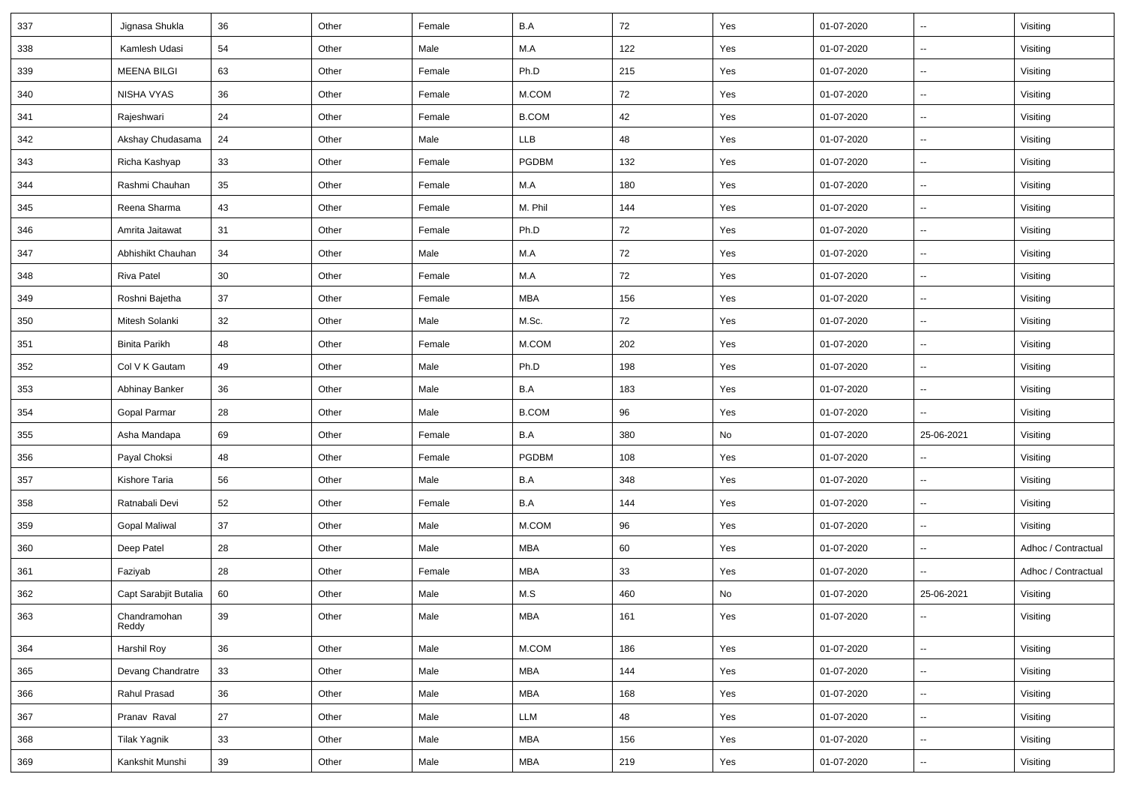| 337 | Jignasa Shukla        | 36 | Other | Female | B.A          | 72  | Yes | 01-07-2020 | $\sim$                   | Visiting            |
|-----|-----------------------|----|-------|--------|--------------|-----|-----|------------|--------------------------|---------------------|
| 338 | Kamlesh Udasi         | 54 | Other | Male   | M.A          | 122 | Yes | 01-07-2020 | $\sim$                   | Visiting            |
| 339 | <b>MEENA BILGI</b>    | 63 | Other | Female | Ph.D         | 215 | Yes | 01-07-2020 | $\sim$                   | Visiting            |
| 340 | NISHA VYAS            | 36 | Other | Female | $M.$ COM     | 72  | Yes | 01-07-2020 | --                       | Visiting            |
| 341 | Rajeshwari            | 24 | Other | Female | <b>B.COM</b> | 42  | Yes | 01-07-2020 | $\sim$                   | Visiting            |
| 342 | Akshay Chudasama      | 24 | Other | Male   | LLB          | 48  | Yes | 01-07-2020 | $\sim$                   | Visiting            |
| 343 | Richa Kashyap         | 33 | Other | Female | PGDBM        | 132 | Yes | 01-07-2020 | $\sim$                   | Visiting            |
| 344 | Rashmi Chauhan        | 35 | Other | Female | M.A          | 180 | Yes | 01-07-2020 | $\sim$                   | Visiting            |
| 345 | Reena Sharma          | 43 | Other | Female | M. Phil      | 144 | Yes | 01-07-2020 | $\sim$                   | Visiting            |
| 346 | Amrita Jaitawat       | 31 | Other | Female | Ph.D         | 72  | Yes | 01-07-2020 | $\overline{\phantom{a}}$ | Visiting            |
| 347 | Abhishikt Chauhan     | 34 | Other | Male   | M.A          | 72  | Yes | 01-07-2020 | $\sim$                   | Visiting            |
| 348 | Riva Patel            | 30 | Other | Female | M.A          | 72  | Yes | 01-07-2020 | $\overline{\phantom{a}}$ | Visiting            |
| 349 | Roshni Bajetha        | 37 | Other | Female | <b>MBA</b>   | 156 | Yes | 01-07-2020 | $\sim$                   | Visiting            |
| 350 | Mitesh Solanki        | 32 | Other | Male   | M.Sc.        | 72  | Yes | 01-07-2020 | $\sim$                   | Visiting            |
| 351 | Binita Parikh         | 48 | Other | Female | M.COM        | 202 | Yes | 01-07-2020 | $\overline{\phantom{a}}$ | Visiting            |
| 352 | Col V K Gautam        | 49 | Other | Male   | Ph.D         | 198 | Yes | 01-07-2020 | Ξ.                       | Visiting            |
| 353 | Abhinay Banker        | 36 | Other | Male   | B.A          | 183 | Yes | 01-07-2020 | $\sim$                   | Visiting            |
| 354 | Gopal Parmar          | 28 | Other | Male   | <b>B.COM</b> | 96  | Yes | 01-07-2020 | $\overline{\phantom{a}}$ | Visiting            |
| 355 | Asha Mandapa          | 69 | Other | Female | B.A          | 380 | No  | 01-07-2020 | 25-06-2021               | Visiting            |
| 356 | Payal Choksi          | 48 | Other | Female | PGDBM        | 108 | Yes | 01-07-2020 | $\sim$                   | Visiting            |
| 357 | Kishore Taria         | 56 | Other | Male   | B.A          | 348 | Yes | 01-07-2020 | $\sim$                   | Visiting            |
| 358 | Ratnabali Devi        | 52 | Other | Female | B.A          | 144 | Yes | 01-07-2020 | $\sim$                   | Visiting            |
| 359 | <b>Gopal Maliwal</b>  | 37 | Other | Male   | M.COM        | 96  | Yes | 01-07-2020 | $\sim$                   | Visiting            |
| 360 | Deep Patel            | 28 | Other | Male   | <b>MBA</b>   | 60  | Yes | 01-07-2020 | $\sim$                   | Adhoc / Contractual |
| 361 | Faziyab               | 28 | Other | Female | <b>MBA</b>   | 33  | Yes | 01-07-2020 |                          | Adhoc / Contractual |
| 362 | Capt Sarabjit Butalia | 60 | Other | Male   | M.S          | 460 | No  | 01-07-2020 | 25-06-2021               | Visiting            |
| 363 | Chandramohan<br>Reddy | 39 | Other | Male   | MBA          | 161 | Yes | 01-07-2020 | $\overline{\phantom{a}}$ | Visiting            |
| 364 | Harshil Roy           | 36 | Other | Male   | $M.$ COM     | 186 | Yes | 01-07-2020 | $\sim$                   | Visiting            |
| 365 | Devang Chandratre     | 33 | Other | Male   | <b>MBA</b>   | 144 | Yes | 01-07-2020 | Ξ.                       | Visiting            |
| 366 | Rahul Prasad          | 36 | Other | Male   | <b>MBA</b>   | 168 | Yes | 01-07-2020 | $\sim$                   | Visiting            |
| 367 | Pranav Raval          | 27 | Other | Male   | LLM          | 48  | Yes | 01-07-2020 | $\sim$                   | Visiting            |
| 368 | <b>Tilak Yagnik</b>   | 33 | Other | Male   | <b>MBA</b>   | 156 | Yes | 01-07-2020 | $\sim$                   | Visiting            |
| 369 | Kankshit Munshi       | 39 | Other | Male   | MBA          | 219 | Yes | 01-07-2020 | $\sim$                   | Visiting            |